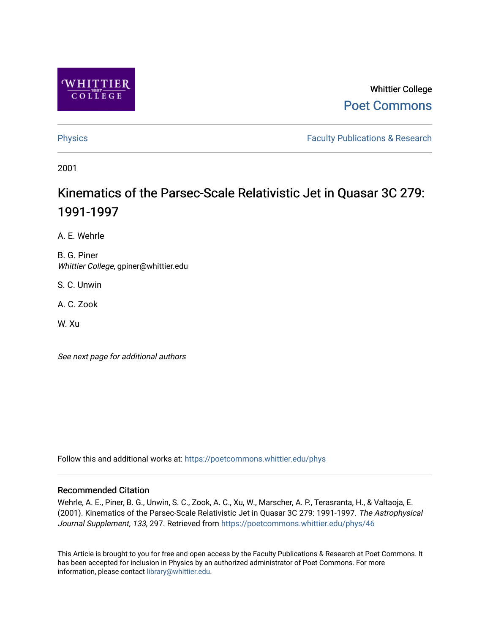

# Whittier College [Poet Commons](https://poetcommons.whittier.edu/)

[Physics](https://poetcommons.whittier.edu/phys) **Faculty Publications & Research Physics Faculty Publications & Research** 

2001

# Kinematics of the Parsec-Scale Relativistic Jet in Quasar 3C 279: 1991-1997

A. E. Wehrle

B. G. Piner Whittier College, gpiner@whittier.edu

S. C. Unwin

A. C. Zook

W. Xu

See next page for additional authors

Follow this and additional works at: [https://poetcommons.whittier.edu/phys](https://poetcommons.whittier.edu/phys?utm_source=poetcommons.whittier.edu%2Fphys%2F46&utm_medium=PDF&utm_campaign=PDFCoverPages)

## Recommended Citation

Wehrle, A. E., Piner, B. G., Unwin, S. C., Zook, A. C., Xu, W., Marscher, A. P., Terasranta, H., & Valtaoja, E. (2001). Kinematics of the Parsec-Scale Relativistic Jet in Quasar 3C 279: 1991-1997. The Astrophysical Journal Supplement, 133, 297. Retrieved from [https://poetcommons.whittier.edu/phys/46](https://poetcommons.whittier.edu/phys/46?utm_source=poetcommons.whittier.edu%2Fphys%2F46&utm_medium=PDF&utm_campaign=PDFCoverPages)

This Article is brought to you for free and open access by the Faculty Publications & Research at Poet Commons. It has been accepted for inclusion in Physics by an authorized administrator of Poet Commons. For more information, please contact [library@whittier.edu.](mailto:library@whittier.edu)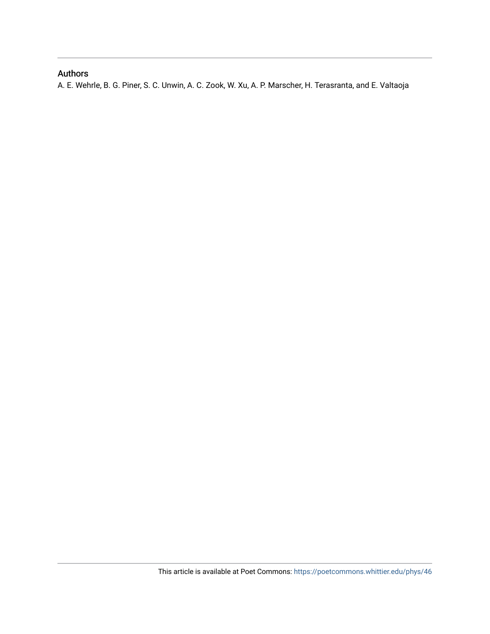# Authors

A. E. Wehrle, B. G. Piner, S. C. Unwin, A. C. Zook, W. Xu, A. P. Marscher, H. Terasranta, and E. Valtaoja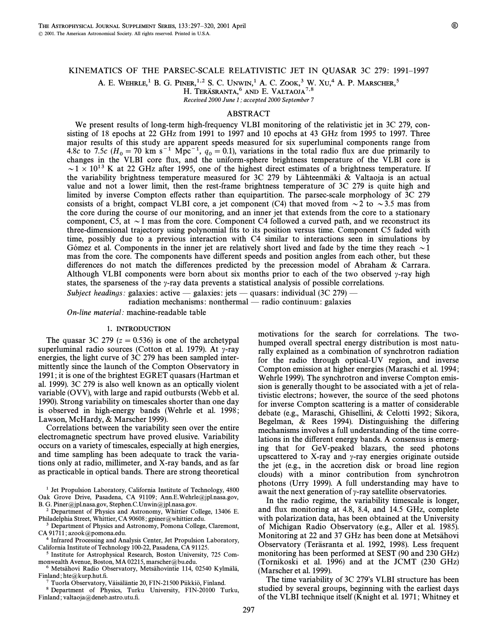### KINEMATICS OF THE PARSEC-SCALE RELATIVISTIC JET IN QUASAR 3C 279: 1991-1997

A. E. WEHRLE,<sup>1</sup> B. G. PINER,<sup>1,2</sup> S. C. UNWIN,<sup>1</sup> A. C. ZOOK,<sup>3</sup> W. Xu<sub>1</sub><sup>4</sup> A. P. MARSCHER,<sup>5</sup>

H. TERÄSRANTA,<sup>6</sup> AND E. VALTAOJA<sup>7,8</sup>

Received 2000 June 1; accepted 2000 September 7

#### ABSTRACT

We present results of long-term high-frequency VLBI monitoring of the relativistic jet in 3C 279, consisting of 18 epochs at 22 GHz from 1991 to 1997 and 10 epochs at 43 GHz from 1995 to 1997. Three major results of this study are apparent speeds measured for six superluminal components range from 4.8c to 7.5c ( $H_0 = 70$  km s<sup>-1</sup> Mpc<sup>-1</sup>,  $q_0 = 0.1$ ), variations in the total radio flux are due primarily to changes in the VLBI core flux, and the uniform-sphere brightness temperature of the VLBI core is  $\sim$  1  $\times$  10<sup>13</sup> K at 22 GHz after 1995, one of the highest direct estimates of a brightness temperature. If the variability brightness temperature measured for 3C 279 by Lähteenmäki & Valtaoja is an actual value and not a lower limit, then the rest-frame brightness temperature of 3C 279 is quite high and limited by inverse Compton e†ects rather than equipartition. The parsec-scale morphology of 3C 279 consists of a bright, compact VLBI core, a jet component (C4) that moved from  $\sim$  2 to  $\sim$  3.5 mas from the core during the course of our monitoring, and an inner jet that extends from the core to a stationary component, C5, at  $\sim$  1 mas from the core. Component C4 followed a curved path, and we reconstruct its three-dimensional trajectory using polynomial fits to its position versus time. Component C5 faded with time, possibly due to a previous interaction with C4 similar to interactions seen in simulations by Gómez et al. Components in the inner jet are relatively short lived and fade by the time they reach  $\sim$  1 mas from the core. The components have different speeds and position angles from each other, but these differences do not match the differences predicted by the precession model of Abraham & Carrara. Although VLBI components were born about six months prior to each of the two observed  $\gamma$ -ray high states, the sparseness of the  $\gamma$ -ray data prevents a statistical analysis of possible correlations.

Subject headings: galaxies: active — galaxies: jets — quasars: individual (3C 279)

radiation mechanisms: nonthermal — radio continuum: galaxies

On-line material: machine-readable table

#### 1. INTRODUCTION

The quasar 3C 279 ( $z = 0.536$ ) is one of the archetypal superluminal radio sources (Cotton et al. 1979). At  $\gamma$ -ray energies, the light curve of 3C 279 has been sampled intermittently since the launch of the Compton Observatory in 1991 ; it is one of the brightest EGRET quasars (Hartman et al. 1999). 3C 279 is also well known as an optically violent variable (OVV), with large and rapid outbursts (Webb et al. 1990). Strong variability on timescales shorter than one day is observed in high-energy bands (Wehrle et al. 1998; Lawson, McHardy, & Marscher 1999).

Correlations between the variability seen over the entire electromagnetic spectrum have proved elusive. Variability occurs on a variety of timescales, especially at high energies, and time sampling has been adequate to track the variations only at radio, millimeter, and X-ray bands, and as far as practicable in optical bands. There are strong theoretical

<sup>1</sup> Jet Propulsion Laboratory, California Institute of Technology, 4800 Oak Grove Drive, Pasadena, CA 91109; Ann.E.Wehrle@jpl.nasa.gov, B. G. Piner@jpl.nasa.gov, Stephen.C.Unwin@jpl.nasa.gov.

2 Department of Physics and Astronomy, Whittier College, 13406 E. Philadelphia Street, Whittier, CA 90608; gpiner@whittier.edu.

<sup>3</sup> Department of Physics and Astronomy, Pomona College, Claremont, CA 91711; azook@pomona.edu.

4 Infrared Processing and Analysis Center, Jet Propulsion Laboratory, California Institute of Technology 100-22, Pasadena, CA 91125.

5 Institute for Astrophysical Research, Boston University, 725 Commonwealth Avenue, Boston, MA 02215, marscher@bu.edu.

<sup>6</sup> Metsähovi Radio Observatory, Metsähovintie 114, 02540 Kylmälä, Finland; hte@kurp.hut.fi.

Tuorla Observatory, Väisäläntie 20, FIN-21500 Piikkiö, Finland.

8 Department of Physics, Turku University, FIN-20100 Turku, Finland; valtaoja@deneb.astro.utu.fi.

motivations for the search for correlations. The twohumped overall spectral energy distribution is most naturally explained as a combination of synchrotron radiation for the radio through optical-UV region, and inverse Compton emission at higher energies (Maraschi et al. 1994 ; Wehrle 1999). The synchrotron and inverse Compton emission is generally thought to be associated with a jet of relativistic electrons; however, the source of the seed photons for inverse Compton scattering is a matter of considerable debate (e.g., Maraschi, Ghisellini, & Celotti 1992; Sikora, Begelman, & Rees 1994). Distinguishing the differing mechanisms involves a full understanding of the time correlations in the different energy bands. A consensus is emerging that for GeV-peaked blazars, the seed photons upscattered to X-ray and  $\gamma$ -ray energies originate outside the jet (e.g., in the accretion disk or broad line region clouds) with a minor contribution from synchrotron photons (Urry 1999). A full understanding may have to await the next generation of  $\gamma$ -ray satellite observatories.

In the radio regime, the variability timescale is longer, and flux monitoring at 4.8, 8.4, and 14.5 GHz, complete with polarization data, has been obtained at the University of Michigan Radio Observatory (e.g., Aller et al. 1985). Monitoring at 22 and 37 GHz has been done at Metsahovi Observatory (Teräsranta et al. 1992, 1998). Less frequent monitoring has been performed at SEST (90 and 230 GHz) (Tornikoski et al. 1996) and at the JCMT (230 GHz) (Marscher et al. 1999).

The time variability of  $3C 279$ 's VLBI structure has been studied by several groups, beginning with the earliest days of the VLBI technique itself (Knight et al. 1971 ; Whitney et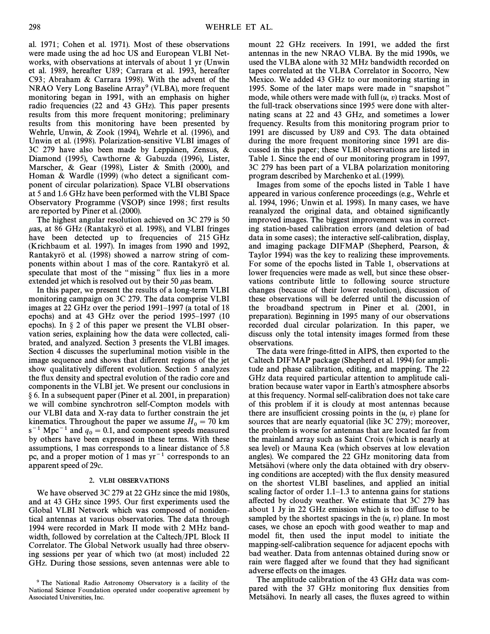al. 1971; Cohen et al. 1971). Most of these observations were made using the ad hoc US and European VLBI Networks, with observations at intervals of about 1 yr (Unwin et al. 1989, hereafter U89; Carrara et al. 1993, hereafter C93; Abraham & Carrara 1998). With the advent of the NRAO Very Long Baseline Array<sup>9</sup> (VLBA), more frequent monitoring began in 1991, with an emphasis on higher radio frequencies (22 and 43 GHz). This paper presents results from this more frequent monitoring; preliminary results from this monitoring have been presented by Wehrle, Unwin, & Zook (1994), Wehrle et al. (1996), and Unwin et al. (1998). Polarization-sensitive VLBI images of 3C 279 have also been made by Leppanen, Zensus,  $\&$ Diamond (1995), Cawthorne & Gabuzda (1996), Lister, Marscher, & Gear (1998), Lister & Smith (2000), and Homan & Wardle (1999) (who detect a significant component of circular polarization). Space VLBI observations at 5 and 1.6 GHz have been performed with the VLBI Space Observatory Programme (VSOP) since 1998; first results are reported by Piner et al. (2000).

The highest angular resolution achieved on 3C 279 is 50  $\mu$ as, at 86 GHz (Rantakyrö et al. 1998), and VLBI fringes have been detected up to frequencies of 215 GHz (Krichbaum et al. 1997). In images from 1990 and 1992, Rantakyrö et al. (1998) showed a narrow string of components within about 1 mas of the core. Rantakyro et al. speculate that most of the "missing" flux lies in a more extended jet which is resolved out by their 50  $\mu$ as beam.

In this paper, we present the results of a long-term VLBI monitoring campaign on 3C 279. The data comprise VLBI images at 22 GHz over the period  $1991-1997$  (a total of 18 epochs) and at 43 GHz over the period  $1995-1997$  (10) epochs). In  $\S$  2 of this paper we present the VLBI observation series, explaining how the data were collected, calibrated, and analyzed. Section 3 presents the VLBI images. Section 4 discusses the superluminal motion visible in the image sequence and shows that different regions of the jet show qualitatively different evolution. Section 5 analyzes the flux density and spectral evolution of the radio core and components in the VLBI jet. We present our conclusions in ° 6. In a subsequent paper (Piner et al. 2001, in preparation) we will combine synchrotron self-Compton models with our VLBI data and X-ray data to further constrain the jet kinematics. Throughout the paper we assume  $H_0 = 70 \text{ km}$  $s^{-1}$  Mpc<sup>-1</sup> and  $q_0 = 0.1$ , and component speeds measured<br>by others have been expressed in these terms. With these by others have been expressed in these terms. With these assumptions, 1 mas corresponds to a linear distance of 5.8 pc, and a proper motion of 1 mas  $yr^{-1}$  corresponds to an apparent speed of 29c.

#### 2. VLBI OBSERVATIONS

We have observed 3C 279 at 22 GHz since the mid 1980s, and at 43 GHz since 1995. Our first experiments used the Global VLBI Network which was composed of nonidentical antennas at various observatories. The data through 1994 were recorded in Mark II mode with 2 MHz bandwidth, followed by correlation at the Caltech/JPL Block II Correlator. The Global Network usually had three observing sessions per year of which two (at most) included 22 GHz. During those sessions, seven antennas were able to mount 22 GHz receivers. In 1991, we added the first antennas in the new NRAO VLBA. By the mid 1990s, we used the VLBA alone with 32 MHz bandwidth recorded on tapes correlated at the VLBA Correlator in Socorro, New Mexico. We added 43 GHz to our monitoring starting in 1995. Some of the later maps were made in "snapshot" mode, while others were made with full  $(u, v)$  tracks. Most of the full-track observations since 1995 were done with alternating scans at 22 and 43 GHz, and sometimes a lower frequency. Results from this monitoring program prior to 1991 are discussed by U89 and C93. The data obtained during the more frequent monitoring since 1991 are discussed in this paper ; these VLBI observations are listed in Table 1. Since the end of our monitoring program in 1997, 3C 279 has been part of a VLBA polarization monitoring program described by Marchenko et al. (1999).

Images from some of the epochs listed in Table 1 have appeared in various conference proceedings (e.g., Wehrle et al. 1994, 1996; Unwin et al. 1998). In many cases, we have reanalyzed the original data, and obtained significantly improved images. The biggest improvement was in correcting station-based calibration errors (and deletion of bad data in some cases); the interactive self-calibration, display, and imaging package DIFMAP (Shepherd, Pearson, & Taylor 1994) was the key to realizing these improvements. For some of the epochs listed in Table 1, observations at lower frequencies were made as well, but since these observations contribute little to following source structure changes (because of their lower resolution), discussion of these observations will be deferred until the discussion of the broadband spectrum in Piner et al. (2001, in preparation). Beginning in 1995 many of our observations recorded dual circular polarization. In this paper, we discuss only the total intensity images formed from these observations.

The data were fringe-fitted in AIPS, then exported to the Caltech DIFMAP package (Shepherd et al. 1994) for amplitude and phase calibration, editing, and mapping. The 22 GHz data required particular attention to amplitude calibration because water vapor in Earth's atmosphere absorbs at this frequency. Normal self-calibration does not take care of this problem if it is cloudy at most antennas because there are insufficient crossing points in the  $(u, v)$  plane for sources that are nearly equatorial (like 3C 279); moreover, the problem is worse for antennas that are located far from the mainland array such as Saint Croix (which is nearly at sea level) or Mauna Kea (which observes at low elevation angles). We compared the 22 GHz monitoring data from Metsahovi (where only the data obtained with dry observing conditions are accepted) with the flux density measured on the shortest VLBI baselines, and applied an initial scaling factor of order  $1.1-1.3$  to antenna gains for stations affected by cloudy weather. We estimate that 3C 279 has about 1 Jy in 22 GHz emission which is too diffuse to be sampled by the shortest spacings in the  $(u, v)$  plane. In most cases, we chose an epoch with good weather to map and model fit, then used the input model to initiate the mapping-self-calibration sequence for adjacent epochs with bad weather. Data from antennas obtained during snow or rain were flagged after we found that they had significant adverse effects on the images.

The amplitude calibration of the 43 GHz data was compared with the 37 GHz monitoring flux densities from Metsähovi. In nearly all cases, the fluxes agreed to within

<sup>&</sup>lt;sup>9</sup> The National Radio Astronomy Observatory is a facility of the National Science Foundation operated under cooperative agreement by Associated Universities, Inc.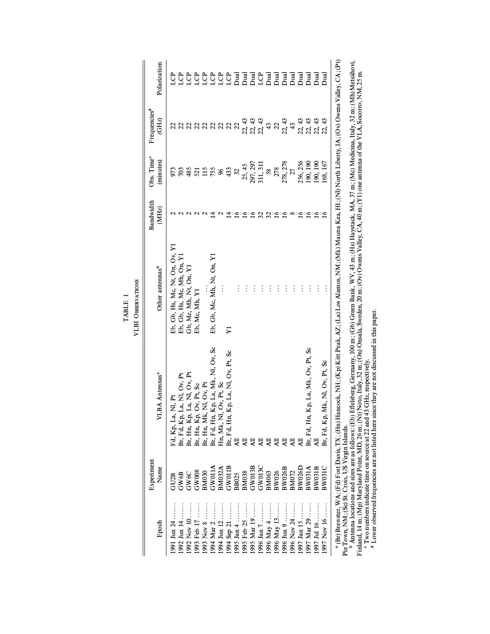|                                                           | Experiment    |                                                                                                              |                                                                                                                               | Bandwidth   | Obs. Time <sup>®</sup> | Frequencies <sup>d</sup>   |                       |
|-----------------------------------------------------------|---------------|--------------------------------------------------------------------------------------------------------------|-------------------------------------------------------------------------------------------------------------------------------|-------------|------------------------|----------------------------|-----------------------|
| Epoch                                                     | Name          | VLBA Antennas <sup>a</sup>                                                                                   | Other antennas <sup>b</sup>                                                                                                   | (MHz)       | (minutes)              | (GHz)                      | Polarization          |
| 1991 Jun 24                                               | GU2B          | Fd, Kp, La, Nl, Pt                                                                                           | Eb, Gb, Hs, Mc, Nt, On, Ov, Y1                                                                                                |             | 973                    |                            | පි                    |
| 1992 Jun 14                                               | GW6B          |                                                                                                              | Eb, Gb, Hs, Mc, Mh, On, Y1                                                                                                    |             | 703                    |                            | පු                    |
| 10 voN 200                                                |               |                                                                                                              | Gb, Mc, Mh, Nt, On, Y1                                                                                                        |             | 485                    |                            | ĝ                     |
| 1993 Feb 17                                               | GW6C<br>GW008 |                                                                                                              | Eb, Mc, Mh, Y1                                                                                                                |             | 521                    |                            | <b>C</b>              |
| 8 vol E661                                                | <b>BM030</b>  | Br, Fd, Kp, La, Nl, Ov, Pr<br>Br, Hn, Kp, La, Nl, Ov, Pr<br>Br, Hn, Kp, Ov, Pr, Sc<br>Br, Hn, Mk, Nl, Ov, Pr |                                                                                                                               |             | 115                    | <b>8 8 8 8 8 8 9 8 9 8</b> | <b>CP</b>             |
| 1994 Mar 2                                                | GW011A        | Br, Fd, Hn, Kp, La, Mk, Nl, Ov, Sc<br>Hn, Mk, Nl, Ov, Pt, Sc                                                 | Eb, Gb, Mc, Mh, Nt, On, Y1                                                                                                    |             | 755                    |                            | <b>CP</b>             |
| 1994 Jun 12                                               | <b>BM032A</b> |                                                                                                              |                                                                                                                               |             | $\frac{8}{2}$          |                            |                       |
| 21 sep 21                                                 | GW011B        | n, Kp, La, Nl, Ov, Pt, Sc<br>Br, Fd, Hı<br>All                                                               | $\boldsymbol{\Sigma}$                                                                                                         |             | 433                    |                            | <b>SSTERED EREALS</b> |
| 1995 Jan 4                                                | <b>BB025</b>  |                                                                                                              | $\vdots$                                                                                                                      |             | $\mathfrak{L}$         |                            |                       |
| 1995 Feb 25                                               | <b>BM038</b>  |                                                                                                              | $\vdots$                                                                                                                      |             | 25, 45                 |                            |                       |
| 1995 Mar 19                                               | GW013E        |                                                                                                              | $\vdots$                                                                                                                      | ∘           |                        | 21<br>21<br>21<br>21<br>21 |                       |
|                                                           | GW013         |                                                                                                              | $\vdots$                                                                                                                      |             | 297, 297<br>311, 311   |                            |                       |
| 1996 May 4                                                | <b>BM063</b>  |                                                                                                              | $\vdots$                                                                                                                      | 25          | 58                     | 43                         |                       |
| 1996 May 13                                               | BW026         |                                                                                                              | $\vdots$                                                                                                                      | ٵ           | 278                    | $\mathfrak{L}$             |                       |
| 9 Jun 9                                                   | <b>BW026B</b> |                                                                                                              | $\vdots$                                                                                                                      | ڡ           | 278, 278               | 22, 43                     |                       |
| 1996 Nov 24                                               | BM072         |                                                                                                              | $\vdots$                                                                                                                      |             | 27                     | 43                         |                       |
| 1997 Jan 15                                               | BW026D        |                                                                                                              | $\vdots$                                                                                                                      | ≗           | 256, 256               | 22, 43                     |                       |
| 1997 Mar 29                                               | <b>BW031A</b> | Br, Fd, Hn, Kp, La, Mk, Ov, Pt, Sc<br>All                                                                    | $\vdots$                                                                                                                      | $\tilde{a}$ | 190, 190               |                            |                       |
| 1997 Jul 16                                               | <b>BW031B</b> |                                                                                                              | $\vdots$                                                                                                                      | 16          | 190, 190               | 22<br>23<br>25<br>25       |                       |
| 1997 Nov 16                                               | <b>BW031C</b> | Br, Fd, Kp, Mk, Nl, Ov, Pt, Sc                                                                               | $\vdots$                                                                                                                      |             | .68, 167               |                            | <b>Rud</b>            |
| <sup>a</sup> (Br) Brewster, WA; (Fd) Fort Davis, TX; (Hn) |               |                                                                                                              | Hancock, NH; (Kp) Kitt Peak, AZ; (La) Los Alamos, NM; (Mk) Mauna Kea, HI; (Nl) North Liberty, IA; (Ov) Owens Valley, CA; (Pt) |             |                        |                            |                       |

VLBI OBSERVATIONS VLBI OBSERVATIONS TABLE 1 TABLE 1

Pie Town, NM ; (Sc) St. Croix, US Virgin Islands. Antenna locations and sizes are as follows : (Eb) E†elsberg, Germany, 100 m ; (Gb) Green Bank, WV, 43 m ; (Hs) Haystack, MA, 37 m ; (Mc) Medicina, Italy, 32 m; (Mh)Metsahovi,

**മ 'പ**ാ<del>ര</del> Finland, 14 m ; (Mp) Maryland Point, MD, 26 m ; (Nt) Noto, Italy, 32 m ; (On) Onsala, Sweden, 20 m ; (Ov) Owens Valley, CA, 40 m ; (Y1) one antenna of the VLA, Socorro, NM, 25 m. Two numbers indicate time on source at 22 and 43 GHz, respectively.

Lower observed frequencies are not listed here since they are not discussed in this paper.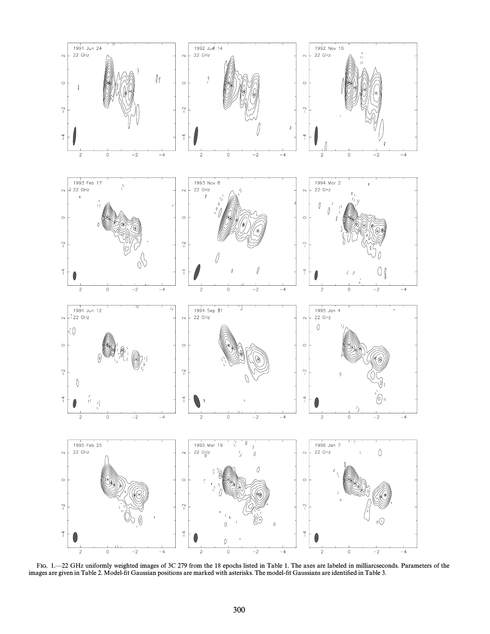

FIG. 1.—22 GHz uniformly weighted images of 3C 279 from the 18 epochs listed in Table 1. The axes are labeled in milliarcseconds. Parameters of the images are given in Table 2. Model-fit Gaussian positions are marked with asterisks. The model-fit Gaussians are identified in Table 3.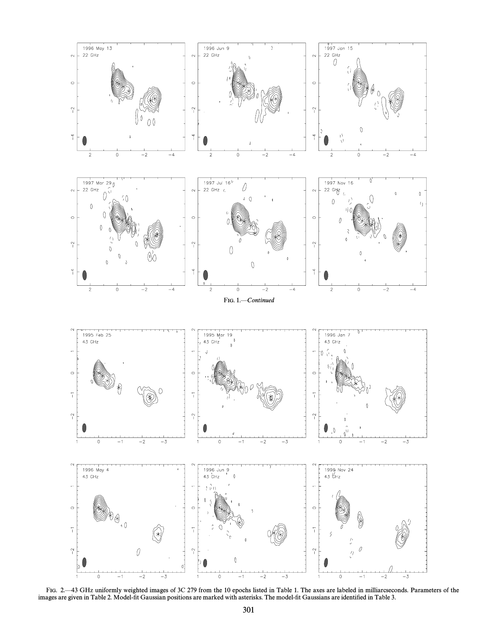

FIG. 2—43 GHz uniformly weighted images of 3C 279 from the 10 epochs listed in Table 1. The axes are labeled in milliarcseconds. Parameters of the images are given in Table 2. Model-fit Gaussian positions are marked with asterisks. The model-fit Gaussians are identified in Table 3.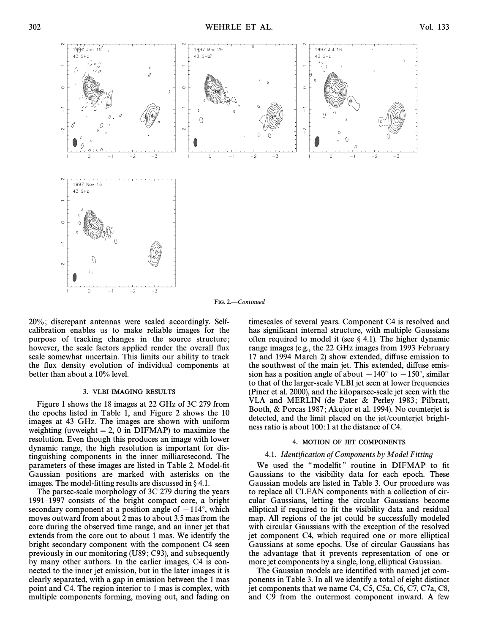

FIG. 2.-Continued

20%; discrepant antennas were scaled accordingly. Selfcalibration enables us to make reliable images for the purpose of tracking changes in the source structure; however, the scale factors applied render the overall flux scale somewhat uncertain. This limits our ability to track the flux density evolution of individual components at better than about a 10% level.

#### 3. VLBI IMAGING RESULTS

Figure 1 shows the 18 images at 22 GHz of 3C 279 from the epochs listed in Table 1, and Figure 2 shows the 10 images at 43 GHz. The images are shown with uniform weighting (uvweight = 2, 0 in DIFMAP) to maximize the resolution. Even though this produces an image with lower dynamic range, the high resolution is important for distinguishing components in the inner milliarcsecond. The parameters of these images are listed in Table 2. Model-fit Gaussian positions are marked with asterisks on the images. The model-fitting results are discussed in  $\S 4.1$ .

The parsec-scale morphology of 3C 279 during the years 1991–1997 consists of the bright compact core, a bright secondary component at a position angle of  $-114°$ , which moves outward from about 2 mas to about 3.5 mas from the core during the observed time range, and an inner jet that extends from the core out to about 1 mas. We identify the bright secondary component with the component C4 seen previously in our monitoring (U89 ; C93), and subsequently by many other authors. In the earlier images, C4 is connected to the inner jet emission, but in the later images it is clearly separated, with a gap in emission between the 1 mas point and C4. The region interior to 1 mas is complex, with multiple components forming, moving out, and fading on timescales of several years. Component C4 is resolved and has significant internal structure, with multiple Gaussians often required to model it (see  $\S$  4.1). The higher dynamic range images (e.g., the 22 GHz images from 1993 February 17 and 1994 March 2) show extended, di†use emission to the southwest of the main jet. This extended, diffuse emission has a position angle of about  $-140°$  to  $-150°$ , similar to that of the larger-scale VLBI jet seen at lower frequencies (Piner et al. 2000), and the kiloparsec-scale jet seen with the VLA and MERLIN (de Pater & Perley 1983; Pilbratt, Booth, & Porcas 1987; Akujor et al. 1994). No counterjet is detected, and the limit placed on the jet/counterjet brightness ratio is about 100:1 at the distance of C4.

#### 4. MOTION OF JET COMPONENTS

#### 4.1. Identification of Components by Model Fitting

We used the "modelfit" routine in DIFMAP to fit Gaussians to the visibility data for each epoch. These Gaussian models are listed in Table 3. Our procedure was to replace all CLEAN components with a collection of circular Gaussians, letting the circular Gaussians become elliptical if required to fit the visibility data and residual map. All regions of the jet could be successfully modeled with circular Gaussians with the exception of the resolved jet component C4, which required one or more elliptical Gaussians at some epochs. Use of circular Gaussians has the advantage that it prevents representation of one or more jet components by a single, long, elliptical Gaussian.

The Gaussian models are identified with named jet components in Table 3. In all we identify a total of eight distinct jet components that we name C4, C5, C5a, C6, C7, C7a, C8, and C9 from the outermost component inward. A few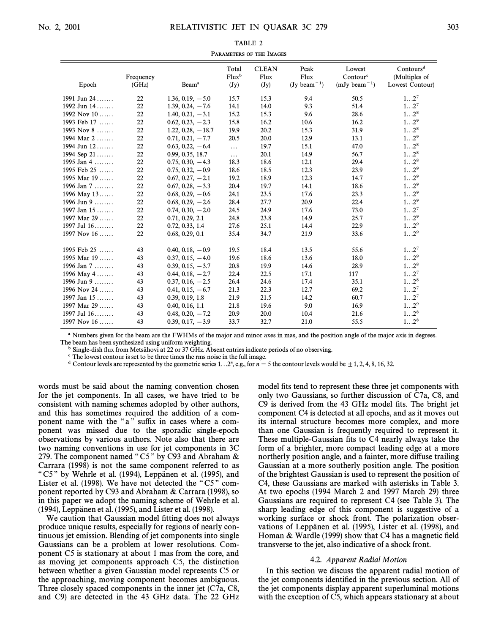| Epoch         | Frequency<br>(GHz) | Beam <sup>a</sup>   | Total<br>$Flux^b$<br>$(\mathbf{J}\mathbf{y})$ | <b>CLEAN</b><br>Flux<br>$(\mathbf{J}\mathbf{y})$ | Peak<br>Flux<br>$(Jy beam^{-1})$ | Lowest<br>Contour <sup>e</sup><br>$(mJy beam^{-1})$ | Contours <sup>d</sup><br>(Multiples of<br>Lowest Contour) |
|---------------|--------------------|---------------------|-----------------------------------------------|--------------------------------------------------|----------------------------------|-----------------------------------------------------|-----------------------------------------------------------|
| 1991 Jun 24   | 22                 | $1.36, 0.19, -5.0$  | 15.7                                          | 15.3                                             | 9.4                              | 50.5                                                | $12^7$                                                    |
| 1992 Jun 14   | 22                 | $1.39, 0.24, -7.6$  | 14.1                                          | 14.0                                             | 9.3                              | 51.4                                                | $12^7$                                                    |
| 1992 Nov $10$ | 22                 | $1.40, 0.21, -3.1$  | 15.2                                          | 15.3                                             | 9.6                              | 28.6                                                | $12^8$                                                    |
| 1993 Feb 17   | 22                 | $0.62, 0.23, -2.3$  | 15.8                                          | 16.2                                             | 10.6                             | 16.2                                                | $12^9$                                                    |
| 1993 Nov $8$  | 22                 | $1.22, 0.28, -18.7$ | 19.9                                          | 20.2                                             | 15.3                             | 31.9                                                | $12^8$                                                    |
| 1994 Mar 2    | 22                 | $0.71, 0.21, -7.7$  | 20.5                                          | 20.0                                             | 12.9                             | 13.1                                                | $12^9$                                                    |
| 1994 Jun 12   | 22                 | $0.63, 0.22, -6.4$  | $\ddots$                                      | 19.7                                             | 15.1                             | 47.0                                                | $12^8$                                                    |
| 1994 Sep $21$ | 22                 | 0.99, 0.35, 18.7    | $\ldots$                                      | 20.1                                             | 14.9                             | 56.7                                                | $12^8$                                                    |
| 1995 Jan 4    | 22                 | $0.75, 0.30, -4.3$  | 18.3                                          | 18.6                                             | 12.1                             | 29.4                                                | $12^8$                                                    |
| 1995 Feb 25   | 22                 | $0.75, 0.32, -0.9$  | 18.6                                          | 18.5                                             | 12.3                             | 23.9                                                | $12^9$                                                    |
| 1995 Mar 19   | 22                 | $0.67, 0.27, -2.1$  | 19.2                                          | 18.9                                             | 12.3                             | 14.7                                                | $12^9$                                                    |
| 1996 Jan 7    | 22                 | $0.67, 0.28, -3.3$  | 20.4                                          | 19.7                                             | 14.1                             | 18.6                                                | $12^9$                                                    |
| 1996 May 13   | 22                 | $0.68, 0.29, -0.6$  | 24.1                                          | 23.5                                             | 17.6                             | 23.3                                                | $12^9$                                                    |
| 1996 Jun 9    | 22                 | $0.68, 0.29, -2.6$  | 28.4                                          | 27.7                                             | 20.9                             | 22.4                                                | $12^9$                                                    |
| 1997 Jan $15$ | 22                 | $0.74, 0.30, -2.0$  | 24.5                                          | 24.9                                             | 17.6                             | 73.0                                                | $12^7$                                                    |
| 1997 Mar $29$ | 22                 | 0.71, 0.29, 2.1     | 24.8                                          | 23.8                                             | 14.9                             | 25.7                                                | $12^9$                                                    |
| 1997 Jul $16$ | 22                 | 0.72, 0.33, 1.4     | 27.6                                          | 25.1                                             | 14.4                             | 22.9                                                | $12^9$                                                    |
| 1997 Nov 16   | 22                 | 0.68, 0.29, 0.1     | 35.4                                          | 34.7                                             | 21.9                             | 33.6                                                | $12^9$                                                    |
| 1995 Feb 25   | 43                 | $0.40, 0.18, -0.9$  | 19.5                                          | 18.4                                             | 13.5                             | 55.6                                                | $12^7$                                                    |
| 1995 Mar 19   | 43                 | $0.37, 0.15, -4.0$  | 19.6                                          | 18.6                                             | 13.6                             | 18.0                                                | $12^9$                                                    |
| 1996 Jan $7$  | 43                 | $0.39, 0.15, -3.7$  | 20.8                                          | 19.9                                             | 14.6                             | 28.9                                                | $12^8$                                                    |
| 1996 May 4    | 43                 | $0.44, 0.18, -2.7$  | 22.4                                          | 22.5                                             | 17.1                             | 117                                                 | $12^7$                                                    |
| 1996 Jun 9    | 43                 | $0.37, 0.16, -2.5$  | 26.4                                          | 24.6                                             | 17.4                             | 35.1                                                | $12^8$                                                    |
| 1996 Nov 24   | 43                 | $0.41, 0.15, -6.7$  | 21.3                                          | 22.3                                             | 12.7                             | 69.2                                                | $12^7$                                                    |
| 1997 Jan $15$ | 43                 | 0.39, 0.19, 1.8     | 21.9                                          | 21.5                                             | 14.2                             | 60.7                                                | $12^7$                                                    |
| 1997 Mar 29   | 43                 | 0.40, 0.16, 1.1     | 21.8                                          | 19.6                                             | 9.0                              | 16.9                                                | $12^9$                                                    |
| 1997 Jul 16   | 43                 | $0.48, 0.20, -7.2$  | 20.9                                          | 20.0                                             | 10.4                             | 21.6                                                | $12^8$                                                    |
| 1997 Nov $16$ | 43                 | $0.39, 0.17, -3.9$  | 33.7                                          | 32.7                                             | 21.0                             | 55.5                                                | $12^8$                                                    |

TARIE<sub>2</sub> PARAMETERS OF THE IMAGES

<sup>a</sup> Numbers given for the beam are the FWHMs of the major and minor axes in mas, and the position angle of the major axis in degrees. The beam has been synthesized using uniform weighting.

Single-dish flux from Metsähovi at 22 or 37 GHz. Absent entries indicate periods of no observing.

<sup>c</sup> The lowest contour is set to be three times the rms noise in the full image.

<sup>d</sup> Contour levels are represented by the geometric series 1. . . 2<sup>n</sup>, e.g., for  $n = 5$  the contour levels would be  $\pm$  1, 2, 4, 8, 16, 32.

words must be said about the naming convention chosen for the jet components. In all cases, we have tried to be consistent with naming schemes adopted by other authors, and this has sometimes required the addition of a component name with the "a" suffix in cases where a component was missed due to the sporadic single-epoch observations by various authors. Note also that there are two naming conventions in use for jet components in 3C 279. The component named "C5" by C93 and Abraham  $\&$ Carrara (1998) is not the same component referred to as " $C5$ " by Wehrle et al. (1994), Leppanen et al. (1995), and Lister et al.  $(1998)$ . We have not detected the "C5" component reported by C93 and Abraham & Carrara (1998), so in this paper we adopt the naming scheme of Wehrle et al. (1994), Leppanen et al. (1995), and Lister et al. (1998).

We caution that Gaussian model fitting does not always produce unique results, especially for regions of nearly continuous jet emission. Blending of jet components into single Gaussians can be a problem at lower resolutions. Component C5 is stationary at about 1 mas from the core, and as moving jet components approach C5, the distinction between whether a given Gaussian model represents C5 or the approaching, moving component becomes ambiguous. Three closely spaced components in the inner jet (C7a, C8, and C9) are detected in the 43 GHz data. The 22 GHz model fits tend to represent these three jet components with only two Gaussians, so further discussion of C7a, C8, and C9 is derived from the 43 GHz model fits. The bright jet component C4 is detected at all epochs, and as it moves out its internal structure becomes more complex, and more than one Gaussian is frequently required to represent it. These multiple-Gaussian fits to C4 nearly always take the form of a brighter, more compact leading edge at a more northerly position angle, and a fainter, more diffuse trailing Gaussian at a more southerly position angle. The position of the brightest Gaussian is used to represent the position of C4, these Gaussians are marked with asterisks in Table 3. At two epochs (1994 March 2 and 1997 March 29) three Gaussians are required to represent C4 (see Table 3). The sharp leading edge of this component is suggestive of a working surface or shock front. The polarization observations of Leppänen et al. (1995), Lister et al. (1998), and Homan  $&$  Wardle (1999) show that C4 has a magnetic field transverse to the jet, also indicative of a shock front.

#### 4.2. Apparent Radial Motion

In this section we discuss the apparent radial motion of the jet components identified in the previous section. All of the jet components display apparent superluminal motions with the exception of C5, which appears stationary at about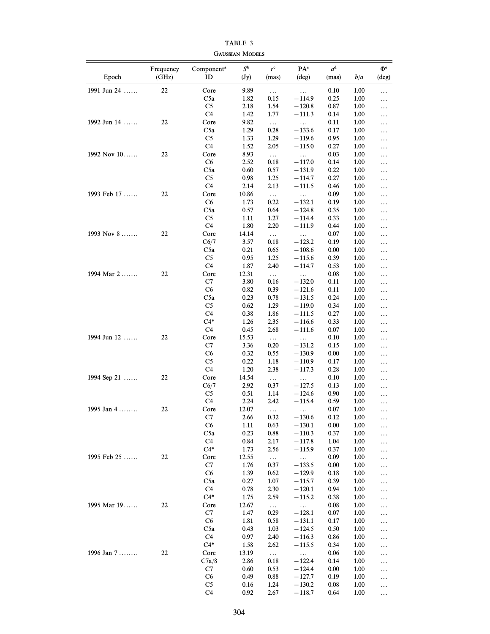| Epoch         | Frequency<br>(GHz) | Component <sup>a</sup><br>ID | $S^{\mathsf{b}}$<br>$(\mathbf{J}\mathbf{y})$ | $r^{\rm c}$<br>(mas) | $\mathbf{P}\mathbf{A}^\mathbf{c}$<br>$(\text{deg})$ | $a^d$<br>(mas) | b/a          | $\Phi$ <sup>e</sup><br>$(\text{deg})$ |
|---------------|--------------------|------------------------------|----------------------------------------------|----------------------|-----------------------------------------------------|----------------|--------------|---------------------------------------|
| 1991 Jun 24   | $22\,$             | Core                         | 9.89                                         | $\ldots$             | $\ldots$                                            | 0.10           | 1.00         | $\ldots$                              |
|               |                    | C <sub>5a</sub>              | 1.82                                         | 0.15                 | $-114.9$                                            | 0.25           | 1.00         | .                                     |
|               |                    | C <sub>5</sub>               | 2.18                                         | 1.54                 | $-120.8$                                            | 0.87           | 1.00         | $\ldots$                              |
|               |                    | C4                           | 1.42                                         | 1.77                 | $-111.3$                                            | 0.14           | 1.00         | $\ldots$                              |
| 1992 Jun 14   | 22                 | Core                         | 9.82                                         | $\ldots$             | $\ldots$                                            | 0.11           | 1.00         | $\ldots$                              |
|               |                    | C5a                          | 1.29                                         | 0.28                 | $-133.6$                                            | 0.17           | 1.00         | $\ldots$                              |
|               |                    | C <sub>5</sub>               | 1.33                                         | 1.29                 | $-119.6$                                            | 0.95           | 1.00         | $\ldots$                              |
|               |                    | C4                           | 1.52                                         | 2.05                 | $-115.0$                                            | 0.27           | 1.00         | $\ldots$                              |
| 1992 Nov 10   | 22                 | Core                         | 8.93                                         | $\ldots$             | .                                                   | 0.03           | 1.00         | .                                     |
|               |                    | C6                           | 2.52                                         | 0.18                 | $-117.0$                                            | 0.14           | 1.00         | $\ldots$                              |
|               |                    | C5a                          | 0.60                                         | 0.57                 | $-131.9$                                            | 0.22           | 1.00         | $\ldots$                              |
|               |                    | C <sub>5</sub><br>C4         | 0.98                                         | 1.25                 | $-114.7$                                            | 0.27           | 1.00         | .                                     |
|               | 22                 |                              | 2.14                                         | 2.13                 | $-111.5$                                            | 0.46           | 1.00         | $\ldots$                              |
| 1993 Feb 17   |                    | Core<br>C6                   | 10.86<br>1.73                                | $\ldots$<br>0.22     | $\ldots$<br>$-132.1$                                | 0.09<br>0.19   | 1.00<br>1.00 | $\ldots$                              |
|               |                    | C5a                          | 0.57                                         | 0.64                 | $-124.8$                                            | 0.35           | 1.00         | $\ldots$                              |
|               |                    | C <sub>5</sub>               | 1.11                                         | 1.27                 | $-114.4$                                            | 0.33           | 1.00         | $\ldots$<br>$\ldots$                  |
|               |                    | C <sub>4</sub>               | 1.80                                         | 2.20                 | $-111.9$                                            | 0.44           | 1.00         | $\ldots$                              |
| 1993 Nov 8    | 22                 | Core                         | 14.14                                        | $\ldots$             | $\ldots$                                            | 0.07           | 1.00         | $\ldots$                              |
|               |                    | C6/7                         | 3.57                                         | 0.18                 | $-123.2$                                            | 0.19           | 1.00         | .                                     |
|               |                    | C <sub>5a</sub>              | 0.21                                         | 0.65                 | $-108.6$                                            | 0.00           | 1.00         | $\ldots$                              |
|               |                    | C <sub>5</sub>               | 0.95                                         | 1.25                 | $-115.6$                                            | 0.39           | 1.00         | $\ldots$                              |
|               |                    | C <sub>4</sub>               | 1.87                                         | 2.40                 | $-114.7$                                            | 0.53           | 1.00         | .                                     |
| 1994 Mar 2    | 22                 | Core                         | 12.31                                        | $\ldots$             | $\ldots$                                            | 0.08           | 1.00         | $\ldots$                              |
|               |                    | C7                           | 3.80                                         | 0.16                 | $-132.0$                                            | 0.11           | 1.00         | $\ldots$                              |
|               |                    | C6                           | 0.82                                         | 0.39                 | $-121.6$                                            | 0.11           | 1.00         | .                                     |
|               |                    | C5a                          | 0.23                                         | 0.78                 | $-131.5$                                            | 0.24           | 1.00         | .                                     |
|               |                    | C <sub>5</sub>               | 0.62                                         | 1.29                 | $-119.0$                                            | 0.34           | 1.00         | $\ldots$                              |
|               |                    | C <sub>4</sub>               | 0.38                                         | 1.86                 | $-111.5$                                            | 0.27           | 1.00         | $\ldots$                              |
|               |                    | $C4*$                        | 1.26                                         | 2.35                 | $-116.6$                                            | 0.33           | 1.00         | $\ldots$                              |
|               |                    | C <sub>4</sub>               | 0.45                                         | 2.68                 | $-111.6$                                            | 0.07           | 1.00         | $\ldots$                              |
| 1994 Jun 12   | 22                 | Core                         | 15.53                                        | $\ldots$             | .                                                   | 0.10           | 1.00         | $\ldots$                              |
|               |                    | C7<br>C6                     | 3.36<br>0.32                                 | 0.20<br>0.55         | $-131.2$<br>$-130.9$                                | 0.15<br>0.00   | 1.00<br>1.00 | $\ldots$                              |
|               |                    | C <sub>5</sub>               | 0.22                                         | 1.18                 | $-110.9$                                            | 0.17           | 1.00         | $\ldots$                              |
|               |                    | C4                           | 1.20                                         | 2.38                 | $-117.3$                                            | 0.28           | 1.00         | $\ldots$<br>$\ldots$                  |
| 1994 Sep 21   | 22                 | Core                         | 14.54                                        | $\ldots$             | $\ldots$                                            | 0.10           | 1.00         | $\ldots$                              |
|               |                    | C6/7                         | 2.92                                         | 0.37                 | $-127.5$                                            | 0.13           | 1.00         | $\ldots$                              |
|               |                    | C <sub>5</sub>               | 0.51                                         | 1.14                 | $-124.6$                                            | 0.90           | 1.00         | $\ldots$                              |
|               |                    | C4                           | 2.24                                         | 2.42                 | $-115.4$                                            | 0.59           | 1.00         | $\ldots$                              |
| 1995 Jan $4$  | 22                 | Core                         | 12.07                                        | $\ldots$             | .                                                   | 0.07           | 1.00         | $\ldots$                              |
|               |                    | C7                           | 2.66                                         | 0.32                 | 130.6                                               | 0.12           | 1.00         | $\ddotsc$                             |
|               |                    | C6                           | 1.11                                         | 0.63                 | $-130.1$                                            | 0.00           | 1.00         | $\cdots$                              |
|               |                    | C5a                          | 0.23                                         | 0.88                 | $-110.3$                                            | 0.37           | 1.00         | .                                     |
|               |                    | C <sub>4</sub>               | 0.84                                         | 2.17                 | $-117.8$                                            | 1.04           | 1.00         | $\ldots$                              |
|               |                    | $C4*$                        | 1.73                                         | 2.56                 | $-115.9$                                            | 0.37           | 1.00         | .                                     |
| 1995 Feb $25$ | 22                 | Core                         | 12.55                                        | $\ldots$             | $\ldots$                                            | 0.09           | 1.00         | .                                     |
|               |                    | C7                           | 1.76                                         | 0.37                 | $-133.5$                                            | 0.00           | 1.00         | .                                     |
|               |                    | C6                           | 1.39                                         | 0.62                 | $-129.9$                                            | 0.18           | 1.00         | .                                     |
|               |                    | C5a                          | 0.27                                         | 1.07                 | $-115.7$                                            | 0.39           | 1.00         | .                                     |
|               |                    | C <sub>4</sub><br>$C4*$      | 0.78                                         | 2.30<br>2.59         | $-120.1$                                            | 0.94           | 1.00         | .                                     |
| 1995 Mar 19   | 22                 | Core                         | 1.75<br>12.67                                |                      | $-115.2$                                            | 0.38<br>0.08   | 1.00<br>1.00 | .                                     |
|               |                    | C7                           | 1.47                                         | $\ldots$<br>0.29     | $\ldots$<br>$-128.1$                                | 0.07           | 1.00         | .                                     |
|               |                    | C6                           | 1.81                                         | 0.58                 | $-131.1$                                            | 0.17           | 1.00         | .                                     |
|               |                    | C5a                          | 0.43                                         | 1.03                 | $-124.5$                                            | 0.50           | 1.00         | .<br>.                                |
|               |                    | C <sub>4</sub>               | 0.97                                         | 2.40                 | $-116.3$                                            | 0.86           | 1.00         | .                                     |
|               |                    | $C4*$                        | 1.58                                         | 2.62                 | $-115.5$                                            | 0.34           | 1.00         | .                                     |
| 1996 Jan 7    | 22                 | Core                         | 13.19                                        | $\ldots$             | $\ldots$                                            | 0.06           | 1.00         | .                                     |
|               |                    | C7a/8                        | 2.86                                         | 0.18                 | $-122.4$                                            | 0.14           | 1.00         | .                                     |
|               |                    | C7                           | 0.60                                         | 0.53                 | $-124.4$                                            | 0.00           | 1.00         | .                                     |
|               |                    | C6                           | 0.49                                         | 0.88                 | $-127.7$                                            | 0.19           | 1.00         | .                                     |
|               |                    | C <sub>5</sub>               | 0.16                                         | 1.24                 | $-130.2$                                            | 0.08           | 1.00         | .                                     |
|               |                    | C <sub>4</sub>               | 0.92                                         | 2.67                 | $-118.7$                                            | 0.64           | 1.00         | $\cdots$                              |

TABLE 3 GAUSSIAN MODELS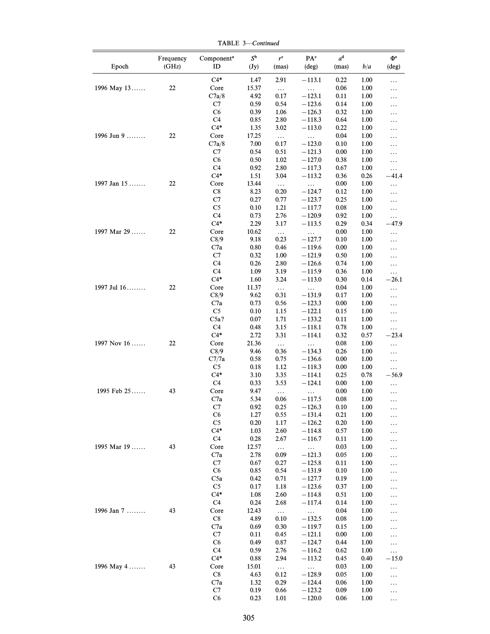Frequency Component<sup>a</sup>  $S^b$   $r^c$  PA<sup>c</sup>  $a^d$   $\Phi^e$ Epoch (GHz) ID (Jy) (mas) (deg) (mas)  $b/a$  (deg)  $C4*$  1.47 2.91  $-113.1$  0.22 1.00 ... 1996 May 13...... 22 Core 15.37 ... ... 0.06 1.00 ... C7a/8 4.92  $0.17 -123.1$   $0.11 1.00 ...$ C7 0.59 0.54  $-123.6$  0.14 1.00 ... C6 0.39 1.06  $-126.3$  0.32 1.00 ... C4  $0.85$   $2.80$   $-118.3$   $0.64$   $1.00$  ...  $C4*$  1.35 3.02 -113.0 0.22 1.00 ... 1996 Jun 9 ........ 22 Core 17.25 ... ... 0.04 1.00 ...  $C7a/8$  7.00 0.17  $-123.0$  0.10 1.00 ... C7  $0.54$   $0.51$   $-121.3$   $0.00$   $1.00$  ... C6 0.50 1.02  $-127.0$  0.38 1.00 ...  $C4$  0.92 2.80 -117.3 0.67 1.00 ...<br> $C4*$  1.51 3.04 -113.2 0.36 0.26 -41 1.51 3.04  $-113.2$  0.36 0.26  $-41.4$ 1997 Jan 15 ....... 22 Core 13.44 ... ... 0.00 1.00 ... C8 8.23 0.20  $-124.7$  0.12 1.00 ... C7 0.27 0.77  $-123.7$  0.25 1.00 ...  $\begin{array}{ccccccccc} \text{C5} & & & 0.10 & & 1.21 & & -117.7 & & 0.08 & & 1.00 & & \dots \\ \text{C4} & & & & 0.73 & & 2.76 & & -120.9 & & 0.92 & & 1.00 & & \dots \end{array}$  $0.73$   $2.76$   $-120.9$   $0.92$   $1.00$  ...  $C4*$  2.29 3.17  $-113.5$  0.29 0.34  $-47.9$ 1997 Mar 29 ...... 22 Core 10.62 ... ... 0.00 1.00 ...  $C8/9$  9.18 0.23  $-127.7$  0.10 1.00 ... C7a  $0.80$   $0.46$   $-119.6$   $0.00$   $1.00$  ... C7 0.32 1.00  $-121.9$  0.50 1.00 ... C4 0.26 2.80  $-126.6$  0.74 1.00 ... C4 1.09 3.19  $-115.9$  0.36 1.00  $C4*$  1.60 3.24 -113.0 0.30 0.14 -26.1 1997 Jul 16 ... .... 22 Core 11.37 ... ... 0.04 1.00 ... C8/9 9.62 0.31  $-131.9$  0.17 1.00 ... C7a  $0.73$   $0.56$   $-123.3$   $0.00$   $1.00$  ... C5 0.10 1.15  $-122.1$  0.15 1.00 ...  $C5a?$  0.07 1.71  $-133.2$  0.11 1.00 ... C4 0.48 3.15  $-118.1$  0.78 1.00 ...  $C4*$  2.72 3.31 -114.1 0.32 0.57 -23.4 1997 Nov 16 ...... 22 Core 21.36 ... ... 0.08 1.00 ...  $C8/9$  9.46 0.36 -134.3 0.26 1.00 ... C7/7a 0.58 0.75  $-136.6$  0.00 1.00 ... C5 0.18 1.12  $-118.3$  0.00 1.00 ...<br>C4\* 3.10 3.35  $-114.1$  0.25 0.78  $-56$  $C4*$  3.10 3.35 -114.1 0.25 0.78 -56.9 C4 0.33 3.53  $-124.1$  0.00 1.00 ... 1995 Feb 25...... 43 Core 9.47 ... ... 0.00 1.00 ... C7a 5.34  $0.06$   $-117.5$   $0.08$   $1.00$  ... C7  $0.92$   $0.25$   $-126.3$   $0.10$   $1.00$  ... C6 1.27 0.55  $-131.4$  0.21 1.00 ... C5 0.20 1.17  $-126.2$  0.20 1.00 ...  $C4*$  1.03 2.60 -114.8 0.57 1.00 ... C4 0.28 2.67  $-116.7$  0.11 1.00 ... 1995 Mar 19 ...... 43 Core 12.57 ... ... 0.03 1.00 ... C7a 2.78  $0.09$   $-121.3$   $0.05$   $1.00$  ... C7 0.67 0.27  $-125.8$  0.11 1.00 ... C6 0.85 0.54  $-131.9$  0.10 1.00 ... C5a  $0.42$   $0.71$   $-127.7$   $0.19$   $1.00$  ... C5 0.17 1.18  $-123.6$  0.37 1.00 ...  $C4*$  1.08 2.60  $-114.8$  0.51 1.00 ... C4 0.24 2.68  $-117.4$  0.14 1.00 ... 1996 Jan 7 ........ 43 Core 12.43 ... ... 0.04 1.00 ... C8 4.89  $0.10$   $-132.5$   $0.08$   $1.00$  ... C7a  $0.69$   $0.30$   $-119.7$   $0.15$   $1.00$  ... C7 0.11 0.45  $-121.1$  0.00 1.00 ... C6 0.49 0.87  $-124.7$  0.44 1.00 ...  $C4$  0.59 2.76 -116.2 0.62 1.00 ...<br> $C4*$  0.88 2.94 -113.2 0.45 0.40 -1: 0.88 2.94  $-113.2$  0.45 0.40  $-15.0$  $1996$  May  $4$  ....... 43 Core  $15.01$  ... ... 0.03 1.00 ... C8 4.63  $0.12$   $-128.9$   $0.05$   $1.00$  ... C7a 1.32  $0.29 -124.4 0.06 1.00 ...$ C7 0.19 0.66  $-123.2$  0.09 1.00 ...

TABLE 3-Continued

 $C6$  0.23 1.01  $-120.0$  0.06 1.00 ...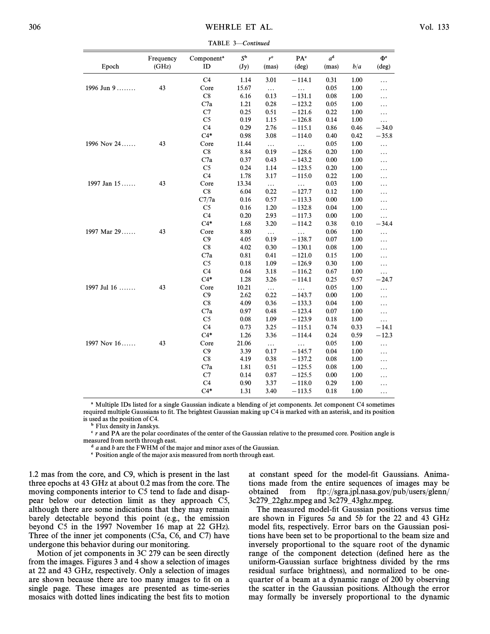|             | Frequency | Component <sup>a</sup> | $S^{\mathbf{b}}$         | $r^{\rm c}$ | PA <sup>c</sup> | $a^d$ |      | $\Phi$ <sup>e</sup> |
|-------------|-----------|------------------------|--------------------------|-------------|-----------------|-------|------|---------------------|
| Epoch       | (GHz)     | ID                     | $(\mathbf{J}\mathbf{y})$ | (mas)       | $(\text{deg})$  | (mas) | b/a  | $(\text{deg})$      |
|             |           | C <sub>4</sub>         | 1.14                     | 3.01        | $-114.1$        | 0.31  | 1.00 | .                   |
| 1996 Jun 9  | 43        | Core                   | 15.67                    | $\ldots$    | $\ddotsc$       | 0.05  | 1.00 | .                   |
|             |           | C8                     | 6.16                     | 0.13        | $-131.1$        | 0.08  | 1.00 | .                   |
|             |           | C7a                    | 1.21                     | 0.28        | $-123.2$        | 0.05  | 1.00 | .                   |
|             |           | C7                     | 0.25                     | 0.51        | $-121.6$        | 0.22  | 1.00 | .                   |
|             |           | C <sub>5</sub>         | 0.19                     | 1.15        | $-126.8$        | 0.14  | 1.00 | $\cdots$            |
|             |           | C <sub>4</sub>         | 0.29                     | 2.76        | $-115.1$        | 0.86  | 0.46 | $-34.0$             |
|             |           | $C4*$                  | 0.98                     | 3.08        | $-114.0$        | 0.40  | 0.42 | $-35.8$             |
| 1996 Nov 24 | 43        | Core                   | 11.44                    | $\ldots$    | $\ddotsc$       | 0.05  | 1.00 | .                   |
|             |           | $\mathbf{C}8$          | 8.84                     | 0.19        | $-128.6$        | 0.20  | 1.00 | .                   |
|             |           | C7a                    | 0.37                     | 0.43        | $-143.2$        | 0.00  | 1.00 | .                   |
|             |           | C <sub>5</sub>         | 0.24                     | 1.14        | $-123.5$        | 0.20  | 1.00 | .                   |
|             |           | C <sub>4</sub>         | 1.78                     | 3.17        | $-115.0$        | 0.22  | 1.00 | .                   |
| 1997 Jan 15 | 43        | Core                   | 13.34                    | $\ldots$    | $\ddots$        | 0.03  | 1.00 | .                   |
|             |           | C8                     | 6.04                     | 0.22        | $-127.7$        | 0.12  | 1.00 | .                   |
|             |           | C7/7a                  | 0.16                     | 0.57        | $-113.3$        | 0.00  | 1.00 | .                   |
|             |           | C <sub>5</sub>         | 0.16                     | 1.20        | $-132.8$        | 0.04  | 1.00 | .                   |
|             |           | C <sub>4</sub>         | 0.20                     | 2.93        | $-117.3$        | 0.00  | 1.00 | .                   |
|             |           | $C4*$                  | 1.68                     | 3.20        | $-114.2$        | 0.38  | 0.10 | $-34.4$             |
| 1997 Mar 29 | 43        | Core                   | 8.80                     | $\ldots$    | .               | 0.06  | 1.00 | .                   |
|             |           | C9                     | 4.05                     | 0.19        | $-138.7$        | 0.07  | 1.00 | .                   |
|             |           | C8                     | 4.02                     | 0.30        | $-130.1$        | 0.08  | 1.00 | .                   |
|             |           | C7a                    | 0.81                     | 0.41        | $-121.0$        | 0.15  | 1.00 | .                   |
|             |           | C <sub>5</sub>         | 0.18                     | 1.09        | $-126.9$        | 0.30  | 1.00 | .                   |
|             |           | C <sub>4</sub>         | 0.64                     | 3.18        | $-116.2$        | 0.67  | 1.00 | .                   |
|             |           | $C4*$                  | 1.28                     | 3.26        | $-114.1$        | 0.25  | 0.57 | $-24.7$             |
| 1997 Jul 16 | 43        | Core                   | 10.21                    | $\ldots$    | $\ddots$        | 0.05  | 1.00 | .                   |
|             |           | C9                     | 2.62                     | 0.22        | $-143.7$        | 0.00  | 1.00 | .                   |
|             |           | C8                     | 4.09                     | 0.36        | $-133.3$        | 0.04  | 1.00 | .                   |
|             |           | C7a                    | 0.97                     | 0.48        | $-123.4$        | 0.07  | 1.00 | .                   |
|             |           | C <sub>5</sub>         | 0.08                     | 1.09        | $-123.9$        | 0.18  | 1.00 | .                   |
|             |           | C <sub>4</sub>         | 0.73                     | 3.25        | $-115.1$        | 0.74  | 0.33 | $-14.1$             |
|             |           | $C4*$                  | 1.26                     | 3.36        | $-114.4$        | 0.24  | 0.59 | $-12.3$             |
| 1997 Nov 16 | 43        | Core                   | 21.06                    | $\ldots$    | .               | 0.05  | 1.00 | .                   |
|             |           | C9                     | 3.39                     | 0.17        | $-145.7$        | 0.04  | 1.00 | .                   |
|             |           | C8                     | 4.19                     | 0.38        | $-137.2$        | 0.08  | 1.00 | .                   |
|             |           | C7a                    | 1.81                     | 0.51        | $-125.5$        | 0.08  | 1.00 | .                   |
|             |           | C7                     | 0.14                     | 0.87        | $-125.5$        | 0.00  | 1.00 | .                   |
|             |           | C <sub>4</sub>         | 0.90                     | 3.37        | $-118.0$        | 0.29  | 1.00 | .                   |
|             |           | $C4*$                  | 1.31                     | 3.40        | $-113.5$        | 0.18  | 1.00 | .                   |
|             |           |                        |                          |             |                 |       |      |                     |

TABLE 3-Continued

a Multiple IDs listed for a single Gaussian indicate a blending of jet components. Jet component C4 sometimes required multiple Gaussians to fit. The brightest Gaussian making up C4 is marked with an asterisk, and its position is used as the position of C4.

**b** Flux density in Janskys.

 $c$  r and PA are the polar coordinates of the center of the Gaussian relative to the presumed core. Position angle is measured from north through east.

 $d$  a and b are the FWHM of the major and minor axes of the Gaussian.

e Position angle of the major axis measured from north through east.

1.2 mas from the core, and C9, which is present in the last three epochs at 43 GHz at about 0.2 mas from the core. The moving components interior to C5 tend to fade and disappear below our detection limit as they approach C5, although there are some indications that they may remain barely detectable beyond this point (e.g., the emission beyond C5 in the 1997 November 16 map at 22 GHz). Three of the inner jet components (C5a, C6, and C7) have undergone this behavior during our monitoring.

Motion of jet components in 3C 279 can be seen directly from the images. Figures 3 and 4 show a selection of images at 22 and 43 GHz, respectively. Only a selection of images are shown because there are too many images to fit on a single page. These images are presented as time-series mosaics with dotted lines indicating the best fits to motion at constant speed for the model-fit Gaussians. Animations made from the entire sequences of images may be obtained from ftp ://sgra.jpl.nasa.gov/pub/users/glenn/ 3c279–22ghz.mpeg and 3c279–43ghz.mpeg.

The measured model-fit Gaussian positions versus time are shown in Figures 5a and 5b for the 22 and 43 GHz model fits, respectively. Error bars on the Gaussian positions have been set to be proportional to the beam size and inversely proportional to the square root of the dynamic range of the component detection (defined here as the uniform-Gaussian surface brightness divided by the rms residual surface brightness), and normalized to be onequarter of a beam at a dynamic range of 200 by observing the scatter in the Gaussian positions. Although the error may formally be inversely proportional to the dynamic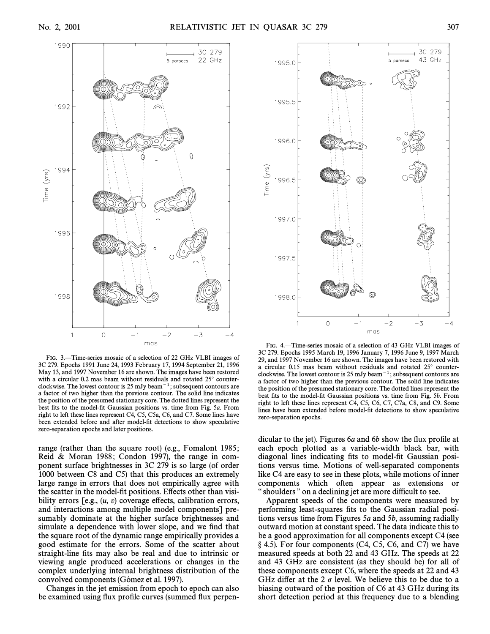

FIG. 3.—Time-series mosaic of a selection of 22 GHz VLBI images of 3C 279. Epochs 1991 June 24, 1993 February 17, 1994 September 21, 1996 May 13, and 1997 November 16 are shown. The images have been restored with a circular 0.2 mas beam without residuals and rotated  $25^\circ$  counterclockwise. The lowest contour is  $25 \text{ mJy beam}^{-1}$ ; subsequent contours are a factor of two higher than the previous contour. The solid line indicates the position of the presumed stationary core. The dotted lines represent the best fits to the model-fit Gaussian positions vs. time from Fig. 5a. From right to left these lines represent C4, C5, C5a, C6, and C7. Some lines have been extended before and after model-fit detections to show speculative zero-separation epochs and later positions.

range (rather than the square root) (e.g., Fomalont 1985; Reid & Moran 1988; Condon 1997), the range in component surface brightnesses in 3C 279 is so large (of order 1000 between C8 and C5) that this produces an extremely large range in errors that does not empirically agree with the scatter in the model-fit positions. Effects other than visibility errors  $[e.g., (u, v)$  coverage effects, calibration errors, and interactions among multiple model components] presumably dominate at the higher surface brightnesses and simulate a dependence with lower slope, and we find that the square root of the dynamic range empirically provides a good estimate for the errors. Some of the scatter about straight-line fits may also be real and due to intrinsic or viewing angle produced accelerations or changes in the complex underlying internal brightness distribution of the convolved components (Gómez et al. 1997).

Changes in the jet emission from epoch to epoch can also be examined using flux profile curves (summed flux perpen-



FIG. 4.—Time-series mosaic of a selection of 43 GHz VLBI images of 3C 279. Epochs 1995 March 19, 1996 January 7, 1996 June 9, 1997 March 29, and 1997 November 16 are shown. The images have been restored with a circular  $0.15$  mas beam without residuals and rotated  $25^\circ$  counterclockwise. The lowest contour is  $25 \text{ mJy beam}^{-1}$ ; subsequent contours are a factor of two higher than the previous contour. The solid line indicates the position of the presumed stationary core. The dotted lines represent the best fits to the model-fit Gaussian positions vs. time from Fig. 5b. From right to left these lines represent C4, C5, C6, C7, C7a, C8, and C9. Some lines have been extended before model-fit detections to show speculative zero-separation epochs.

dicular to the jet). Figures  $6a$  and  $6b$  show the flux profile at each epoch plotted as a variable-width black bar, with diagonal lines indicating fits to model-fit Gaussian positions versus time. Motions of well-separated components like C4 are easy to see in these plots, while motions of inner components which often appear as extensions or " shoulders " on a declining jet are more difficult to see.

Apparent speeds of the components were measured by performing least-squares fits to the Gaussian radial positions versus time from Figures 5a and 5b, assuming radially outward motion at constant speed. The data indicate this to be a good approximation for all components except C4 (see  $\S$  4.5). For four components (C4, C5, C6, and C7) we have measured speeds at both 22 and 43 GHz. The speeds at 22 and 43 GHz are consistent (as they should be) for all of these components except C6, where the speeds at 22 and 43 GHz differ at the 2  $\sigma$  level. We believe this to be due to a biasing outward of the position of C6 at 43 GHz during its short detection period at this frequency due to a blending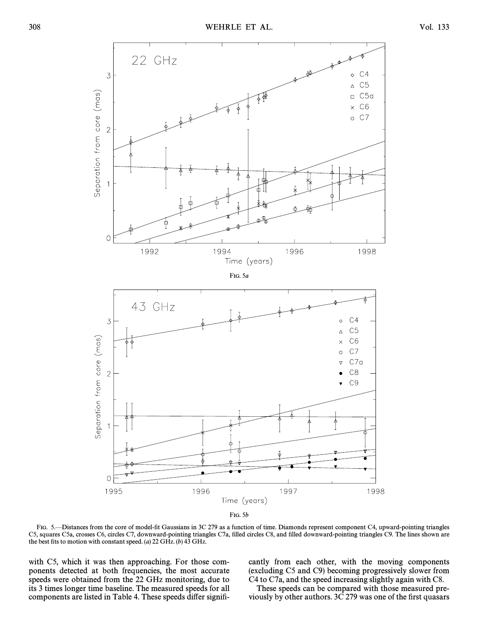

FIG. 5b

FIG. 5. - Distances from the core of model-fit Gaussians in 3C 279 as a function of time. Diamonds represent component C4, upward-pointing triangles C5, squares C5a, crosses C6, circles C7, downward-pointing triangles C7a, filled circles C8, and filled downward-pointing triangles C9. The lines shown are the best fits to motion with constant speed. (a) 22 GHz. (b) 43 GHz.

with C5, which it was then approaching. For those components detected at both frequencies, the most accurate speeds were obtained from the 22 GHz monitoring, due to its 3 times longer time baseline. The measured speeds for all components are listed in Table 4. These speeds differ significantly from each other, with the moving components (excluding C5 and C9) becoming progressively slower from C4 to C7a, and the speed increasing slightly again with C8.

These speeds can be compared with those measured previously by other authors. 3C 279 was one of the first quasars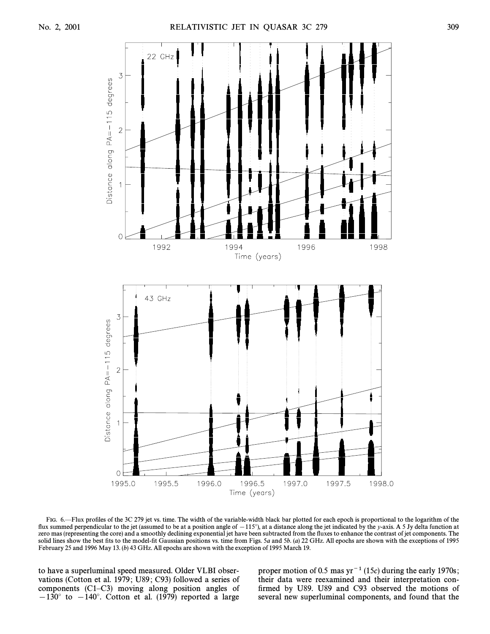

FIG. 6. Elux profiles of the 3C 279 jet vs. time. The width of the variable-width black bar plotted for each epoch is proportional to the logarithm of the flux summed perpendicular to the jet (assumed to be at a position angle of  $-115^\circ$ ), at a distance along the jet indicated by the y-axis. A 5 Jy delta function at zero mas (representing the core) and a smoothly declining exponential jet have been subtracted from the fluxes to enhance the contrast of jet components. The solid lines show the best fits to the model-fit Gaussian positions vs. time from Figs. 5a and 5b. (a) 22 GHz. All epochs are shown with the exceptions of 1995 February 25 and 1996 May 13. (b) 43 GHz. All epochs are shown with the exception of 1995 March 19.

to have a superluminal speed measured. Older VLBI observations (Cotton et al. 1979; U89; C93) followed a series of components  $(C1-C3)$  moving along position angles of  $-130^\circ$  to  $-140^\circ$ . Cotton et al. (1979) reported a large proper motion of 0.5 mas  $yr^{-1}$  (15c) during the early 1970s; their data were reexamined and their interpretation confirmed by U89. U89 and C93 observed the motions of several new superluminal components, and found that the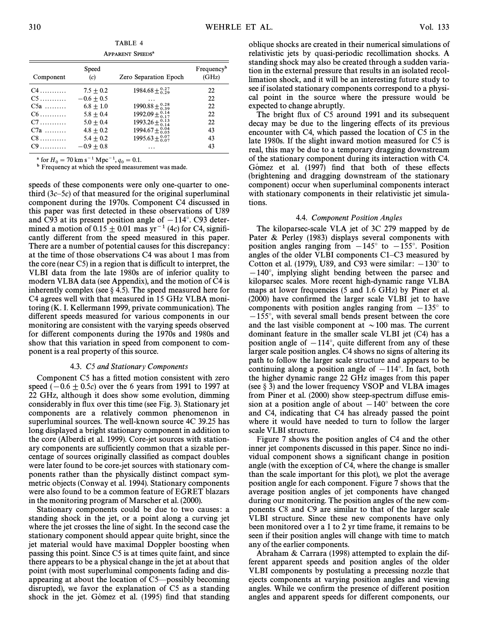| TABLE 4                            |  |  |
|------------------------------------|--|--|
| <b>APPARENT SPEEDS<sup>a</sup></b> |  |  |

| Component | Speed<br>(c) | Zero Separation Epoch                 | Frequency <sup>b</sup><br>(GHz) |
|-----------|--------------|---------------------------------------|---------------------------------|
| $C4$      | $7.5 + 0.2$  | $1984.68 \pm \substack{0.27 \\ 0.29}$ | 22                              |
| $C5$      | $-0.6 + 0.5$ |                                       | 22                              |
| $C5a$     | $6.8 + 1.0$  | $1990.88 \pm \substack{0.28 \\ 0.39}$ | 22                              |
| $C6$      | $5.8 + 0.4$  | $1992.09 \pm \substack{0.14 \\ 0.17}$ | 22                              |
| $C7$      | $5.0 + 0.4$  | $1993.26 \pm \substack{0.13 \\ 0.14}$ | 22                              |
| $C7a$     | $4.8 + 0.2$  | $1994.67 \pm {}^{0.04}_{0.05}$        | 43                              |
| $C8$      | $5.4 + 0.2$  | $1995.63 \pm \substack{0.07 \\ 0.07}$ | 43                              |
| $C9$      | $-0.9 + 0.8$ |                                       | 43                              |

<sup>a</sup> for  $H_0 = 70 \text{ km s}^{-1} \text{ Mpc}^{-1}$ ,  $q_0 = 0.1$ .

 $b_{\text{Frequency at which the speed measurement was made.}$ 

speeds of these components were only one-quarter to onethird  $(3c-5c)$  of that measured for the original superluminal component during the 1970s. Component C4 discussed in this paper was first detected in these observations of U89 and C93 at its present position angle of  $-114°$ . C93 determined a motion of  $0.15 \pm 0.01$  mas yr<sup>-1</sup> (4c) for C4, significantly different from the speed measured in this paper. There are a number of potential causes for this discrepancy : at the time of those observations C4 was about 1 mas from the core (near C5) in a region that is difficult to interpret, the VLBI data from the late 1980s are of inferior quality to modern VLBA data (see Appendix), and the motion of C4 is inherently complex (see  $\S$  4.5). The speed measured here for C4 agrees well with that measured in 15 GHz VLBA monitoring (K. I. Kellermann 1999, private communication). The different speeds measured for various components in our monitoring are consistent with the varying speeds observed for different components during the 1970s and 1980s and show that this variation in speed from component to component is a real property of this source.

#### 4.3. C5 and Stationary Components

Component C5 has a fitted motion consistent with zero speed  $(-0.6 \pm 0.5c)$  over the 6 years from 1991 to 1997 at 22 GHz, although it does show some evolution, dimming considerably in flux over this time (see Fig. 3). Stationary jet components are a relatively common phenomenon in superluminal sources. The well-known source 4C 39.25 has long displayed a bright stationary component in addition to the core (Alberdi et al. 1999). Core-jet sources with stationary components are sufficiently common that a sizable percentage of sources originally classified as compact doubles were later found to be core-jet sources with stationary components rather than the physically distinct compact symmetric objects (Conway et al. 1994). Stationary components were also found to be a common feature of EGRET blazars in the monitoring program of Marscher et al. (2000).

Stationary components could be due to two causes: a standing shock in the jet, or a point along a curving jet where the jet crosses the line of sight. In the second case the stationary component should appear quite bright, since the jet material would have maximal Doppler boosting when passing this point. Since C5 is at times quite faint, and since there appears to be a physical change in the jet at about that point (with most superluminal components fading and disappearing at about the location of  $C5$ —possibly becoming disrupted), we favor the explanation of C5 as a standing shock in the jet. Gómez et al. (1995) find that standing oblique shocks are created in their numerical simulations of relativistic jets by quasi-periodic recollimation shocks. A standing shock may also be created through a sudden variation in the external pressure that results in an isolated recollimation shock, and it will be an interesting future study to see if isolated stationary components correspond to a physical point in the source where the pressure would be expected to change abruptly.

The bright flux of C5 around 1991 and its subsequent decay may be due to the lingering effects of its previous encounter with C4, which passed the location of C5 in the late 1980s. If the slight inward motion measured for C5 is real, this may be due to a temporary dragging downstream of the stationary component during its interaction with C4. Gómez et al. (1997) find that both of these effects (brightening and dragging downstream of the stationary component) occur when superluminal components interact with stationary components in their relativistic jet simulations.

#### 4.4. Component Position Angles

The kiloparsec-scale VLA jet of 3C 279 mapped by de Pater & Perley (1983) displays several components with position angles ranging from  $-145^\circ$  to  $-155^\circ$ . Position angles of the older VLBI components  $C1-C3$  measured by Cotton et al. (1979), U89, and C93 were similar:  $-130°$  to  $-140^\circ$ , implying slight bending between the parsec and kiloparsec scales. More recent high-dynamic range VLBA maps at lower frequencies (5 and 1.6 GHz) by Piner et al. (2000) have confirmed the larger scale VLBI jet to have components with position angles ranging from  $-135^\circ$  to

 $-155^{\circ}$ , with several small bends present between the core and the last visible component at  $\sim$  100 mas. The current dominant feature in the smaller scale VLBI jet (C4) has a position angle of  $-114^\circ$ , quite different from any of these larger scale position angles. C4 shows no signs of altering its path to follow the larger scale structure and appears to be continuing along a position angle of  $-114°$ . In fact, both the higher dynamic range 22 GHz images from this paper (see  $\S$  3) and the lower frequency VSOP and VLBA images from Piner et al. (2000) show steep-spectrum diffuse emission at a position angle of about  $-140°$  between the core and C4, indicating that C4 has already passed the point where it would have needed to turn to follow the larger scale VLBI structure.

Figure 7 shows the position angles of C4 and the other inner jet components discussed in this paper. Since no individual component shows a significant change in position angle (with the exception of C4, where the change is smaller than the scale important for this plot), we plot the average position angle for each component. Figure 7 shows that the average position angles of jet components have changed during our monitoring. The position angles of the new components C8 and C9 are similar to that of the larger scale VLBI structure. Since these new components have only been monitored over a 1 to 2 yr time frame, it remains to be seen if their position angles will change with time to match any of the earlier components.

Abraham & Carrara (1998) attempted to explain the different apparent speeds and position angles of the older VLBI components by postulating a precessing nozzle that ejects components at varying position angles and viewing angles. While we confirm the presence of different position angles and apparent speeds for di†erent components, our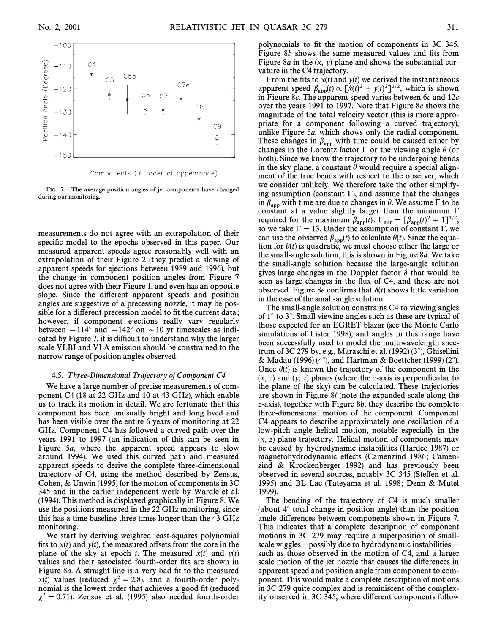

FIG. 7.—The average position angles of jet components have changed during our monitoring.

measurements do not agree with an extrapolation of their specific model to the epochs observed in this paper. Our measured apparent speeds agree reasonably well with an extrapolation of their Figure 2 (they predict a slowing of apparent speeds for ejections between 1989 and 1996), but the change in component position angles from Figure 7 does not agree with their Figure 1, and even has an opposite slope. Since the different apparent speeds and position angles are suggestive of a precessing nozzle, it may be possible for a different precession model to fit the current data; however, if component ejections really vary regularly between  $-114°$  and  $-142°$  on  $\sim$  10 yr timescales as indicated by Figure 7, it is difficult to understand why the larger scale VLBI and VLA emission should be constrained to the narrow range of position angles observed.

#### 4.5. Three-Dimensional Trajectory of Component C4

We have a large number of precise measurements of component C4 (18 at 22 GHz and 10 at 43 GHz), which enable us to track its motion in detail. We are fortunate that this component has been unusually bright and long lived and has been visible over the entire 6 years of monitoring at 22 GHz. Component C4 has followed a curved path over the years 1991 to 1997 (an indication of this can be seen in Figure 5a, where the apparent speed appears to slow around 1994). We used this curved path and measured apparent speeds to derive the complete three-dimensional trajectory of C4, using the method described by Zensus, Cohen, & Unwin (1995) for the motion of components in 3C 345 and in the earlier independent work by Wardle et al. (1994). This method is displayed graphically in Figure 8. We use the positions measured in the 22 GHz monitoring, since this has a time baseline three times longer than the 43 GHz monitoring.

We start by deriving weighted least-squares polynomial fits to  $x(t)$  and  $y(t)$ , the measured offsets from the core in the plane of the sky at epoch t. The measured  $x(t)$  and  $y(t)$ values and their associated fourth-order fits are shown in Figure 8a. A straight line is a very bad fit to the measured  $x(t)$  values (reduced  $\chi^2 = 2.8$ ), and a fourth-order polynomial is the lowest order that achieves a good fit (reduced  $\chi^2 = 0.71$ ). Zensus et al. (1995) also needed fourth-order

polynomials to fit the motion of components in 3C 345. Figure  $8b$  shows the same measured values and fits from Figure 8*a* in the  $(x, y)$  plane and shows the substantial curvature in the C4 trajectory.

From the fits to  $x(t)$  and  $y(t)$  we derived the instantaneous apparent speed  $\beta_{\rm app}(t) \propto [\dot{x}(t)^2 + \dot{y}(t)^2]^{1/2}$ , which is shown<br>in Figure 80. The apparent speed varies between 60 and 12*g* in Figure 8 $c$ . The apparent speed varies between 6 $c$  and 12 $c$ over the years 1991 to 1997. Note that Figure 8c shows the magnitude of the total velocity vector (this is more appropriate for a component following a curved trajectory), unlike Figure 5a, which shows only the radial component. These changes in  $\beta_{app}$  with time could be caused either by changes in the Lorentz factor  $\Gamma$  or the viewing angle  $\theta$  (or both). Since we know the trajectory to be undergoing bends in the sky plane, a constant  $\theta$  would require a special alignment of the true bends with respect to the observer, which we consider unlikely. We therefore take the other simplifying assumption (constant  $\Gamma$ ), and assume that the changes in  $\beta_{app}$  with time are due to changes in  $\theta$ . We assume  $\Gamma$  to be constant at a value slightly larger than the minimum  $\Gamma$ required for the maximum  $\beta_{\rm app}(t)$ :  $\Gamma_{\rm min} = [\beta_{\rm app}(t)^2 + 1]^{1/2}$ ,<br>so we take  $\Gamma = 13$ . Under the assumption of constant  $\Gamma$ , we so we take  $\Gamma = 13$ . Under the assumption of constant  $\Gamma$ , we can use the observed  $\beta_{\rm{apo}}(t)$  to calculate  $\theta(t)$ . Since the equation for  $\theta(t)$  is quadratic, we must choose either the large or the small-angle solution, this is shown in Figure 8d. We take the small-angle solution because the large-angle solution gives large changes in the Doppler factor  $\delta$  that would be seen as large changes in the flux of C4, and these are not observed. Figure 8e confirms that  $\delta(t)$  shows little variation in the case of the small-angle solution.

The small-angle solution constrains C4 to viewing angles of  $1^\circ$  to  $3^\circ$ . Small viewing angles such as these are typical of those expected for an EGRET blazar (see the Monte Carlo simulations of Lister 1998), and angles in this range have been successfully used to model the multiwavelength spectrum of 3C 279 by, e.g., Maraschi et al.  $(1992)(3^{\circ})$ , Ghisellini & Madau (1996) (4°), and Hartman & Boettcher (1999) (2°). Once  $\theta(t)$  is known the trajectory of the component in the  $(x, z)$  and  $(y, z)$  planes (where the z-axis is perpendicular to the plane of the sky) can be calculated. These trajectories are shown in Figure 8f (note the expanded scale along the z-axis), together with Figure 8b, they describe the complete three-dimensional motion of the component. Component C4 appears to describe approximately one oscillation of a low-pitch angle helical motion, notable especially in the  $(x, z)$  plane trajectory. Helical motion of components may be caused by hydrodynamic instabilities (Hardee 1987) or magnetohydrodynamic effects (Camenzind 1986; Camenzind & Krockenberger 1992) and has previously been observed in several sources, notably 3C 345 (Steffen et al. 1995) and BL Lac (Tateyama et al. 1998; Denn & Mutel 1999).

The bending of the trajectory of C4 is much smaller (about  $4^\circ$  total change in position angle) than the position angle differences between components shown in Figure 7. This indicates that a complete description of component motions in 3C 279 may require a superposition of smallscale wiggles—possibly due to hydrodynamic instabilities such as those observed in the motion of C4, and a larger scale motion of the jet nozzle that causes the differences in apparent speed and position angle from component to component. This would make a complete description of motions in 3C 279 quite complex and is reminiscent of the complexity observed in 3C 345, where different components follow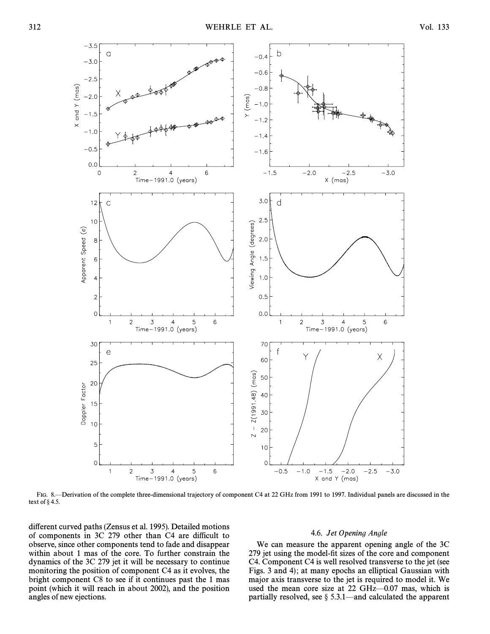

FIG. 8.—Derivation of the complete three-dimensional trajectory of component C4 at 22 GHz from 1991 to 1997. Individual panels are discussed in the text of  $\S 4.5$ .

different curved paths (Zensus et al. 1995). Detailed motions of components in 3C 279 other than C4 are difficult to observe, since other components tend to fade and disappear within about 1 mas of the core. To further constrain the dynamics of the 3C 279 jet it will be necessary to continue monitoring the position of component C4 as it evolves, the bright component C8 to see if it continues past the 1 mas point (which it will reach in about 2002), and the position angles of new ejections.

#### 4.6. Jet Opening Angle

We can measure the apparent opening angle of the 3C 279 jet using the model-fit sizes of the core and component C4. Component C4 is well resolved transverse to the jet (see Figs. 3 and 4); at many epochs an elliptical Gaussian with major axis transverse to the jet is required to model it. We used the mean core size at 22 GHz $-0.07$  mas, which is partially resolved, see  $\S$  5.3.1—and calculated the apparent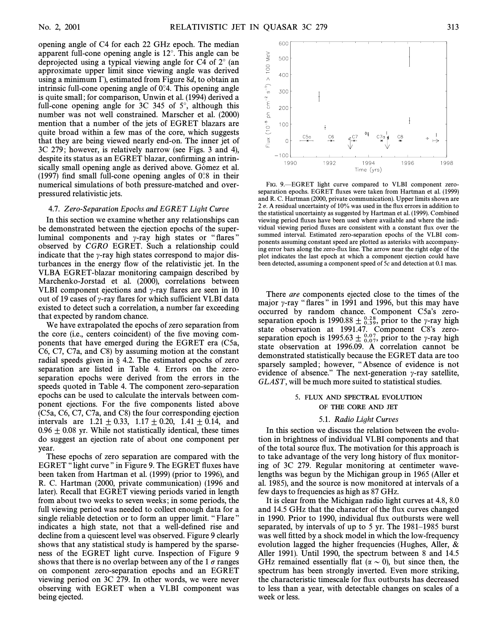opening angle of C4 for each 22 GHz epoch. The median apparent full-cone opening angle is  $12^{\circ}$ . This angle can be deprojected using a typical viewing angle for C4 of  $2^{\circ}$  (an approximate upper limit since viewing angle was derived using a minimum  $\Gamma$ ), estimated from Figure 8d, to obtain an intrinsic full-cone opening angle of  $0^\circ$ 4. This opening angle is quite small ; for comparison, Unwin et al. (1994) derived a full-cone opening angle for  $3C$  345 of  $5^\circ$ , although this number was not well constrained. Marscher et al. (2000) mention that a number of the jets of EGRET blazars are quite broad within a few mas of the core, which suggests that they are being viewed nearly end-on. The inner jet of 3C 279 ; however, is relatively narrow (see Figs. 3 and 4), despite its status as an EGRET blazar, confirming an intrinsically small opening angle as derived above. Gómez et al. (1997) find small full-cone opening angles of  $0°8$  in their numerical simulations of both pressure-matched and overpressured relativistic jets.

#### 4.7. Zero-Separation Epochs and EGRET Light Curve

In this section we examine whether any relationships can be demonstrated between the ejection epochs of the superluminal components and  $\gamma$ -ray high states or "flares" observed by CGRO EGRET. Such a relationship could indicate that the  $\gamma$ -ray high states correspond to major disturbances in the energy Ñow of the relativistic jet. In the VLBA EGRET-blazar monitoring campaign described by Marchenko-Jorstad et al. (2000), correlations between VLBI component ejections and  $\gamma$ -ray flares are seen in 10 out of 19 cases of  $\gamma$ -ray flares for which sufficient VLBI data existed to detect such a correlation, a number far exceeding that expected by random chance.

We have extrapolated the epochs of zero separation from the core (i.e., centers coincident) of the five moving components that have emerged during the EGRET era (C5a, C6, C7, C7a, and C8) by assuming motion at the constant radial speeds given in  $\S$  4.2. The estimated epochs of zero separation are listed in Table 4. Errors on the zeroseparation epochs were derived from the errors in the speeds quoted in Table 4. The component zero-separation epochs can be used to calculate the intervals between component ejections. For the five components listed above (C5a, C6, C7, C7a, and C8) the four corresponding ejection intervals are  $1.21 \pm 0.33$ ,  $1.17 \pm 0.20$ ,  $1.41 \pm 0.14$ , and  $0.96 \pm 0.08$  yr. While not statistically identical, these times do suggest an ejection rate of about one component per year.

These epochs of zero separation are compared with the EGRET "light curve" in Figure 9. The EGRET fluxes have been taken from Hartman et al. (1999) (prior to 1996), and R. C. Hartman (2000, private communication) (1996 and later). Recall that EGRET viewing periods varied in length from about two weeks to seven weeks ; in some periods, the full viewing period was needed to collect enough data for a single reliable detection or to form an upper limit. "Flare" indicates a high state, not that a well-defined rise and decline from a quiescent level was observed. Figure 9 clearly shows that any statistical study is hampered by the sparseness of the EGRET light curve. Inspection of Figure 9 shows that there is no overlap between any of the 1  $\sigma$  ranges on component zero-separation epochs and an EGRET viewing period on 3C 279. In other words, we were never observing with EGRET when a VLBI component was being ejected.



FIG. 9.-EGRET light curve compared to VLBI component zeroseparation epochs. EGRET fluxes were taken from Hartman et al. (1999) and R. C. Hartman (2000, private communication). Upper limits shown are 2  $\sigma$ . A residual uncertainty of 10% was used in the flux errors in addition to the statistical uncertainty as suggested by Hartman et al. (1999). Combined viewing period fluxes have been used where available and where the individual viewing period Ñuxes are consistent with a constant Ñux over the summed interval. Estimated zero-separation epochs of the VLBI components assuming constant speed are plotted as asterisks with accompanying error bars along the zero-flux line. The arrow near the right edge of the plot indicates the last epoch at which a component ejection could have been detected, assuming a component speed of 5c and detection at 0.1 mas.

There are components ejected close to the times of the major  $\gamma$ -ray "flares" in 1991 and 1996, but this may have occurred by random chance. Component C5a's zeroseparation epoch is 1990.88  $\pm \frac{0.28}{0.39}$ , prior to the  $\gamma$ -ray high state observation at 1991.47. Component C8's zeroseparation epoch is 1995.63  $\pm$   $_{0.07}^{0.07}$ , prior to the  $\gamma$ -ray high other prior to the negative cannot be state observation at 1996.09. A correlation cannot be demonstrated statistically because the EGRET data are too sparsely sampled; however, "Absence of evidence is not evidence of absence." The next-generation  $\gamma$ -ray satellite, GLAST, will be much more suited to statistical studies.

#### 5. FLUX AND SPECTRAL EVOLUTION OF THE CORE AND JET

#### 5.1. Radio Light Curves

In this section we discuss the relation between the evolution in brightness of individual VLBI components and that of the total source Ñux. The motivation for this approach is to take advantage of the very long history of flux monitoring of 3C 279. Regular monitoring at centimeter wavelengths was begun by the Michigan group in 1965 (Aller et al. 1985), and the source is now monitored at intervals of a few days to frequencies as high as 87 GHz.

It is clear from the Michigan radio light curves at 4.8, 8.0 and 14.5 GHz that the character of the flux curves changed in 1990. Prior to 1990, individual flux outbursts were well separated, by intervals of up to  $5$  yr. The 1981–1985 burst was well fitted by a shock model in which the low-frequency evolution lagged the higher frequencies (Hughes, Aller, & Aller 1991). Until 1990, the spectrum between 8 and 14.5 GHz remained essentially flat ( $\alpha \sim 0$ ), but since then, the spectrum has been strongly inverted. Even more striking, the characteristic timescale for Ñux outbursts has decreased to less than a year, with detectable changes on scales of a week or less.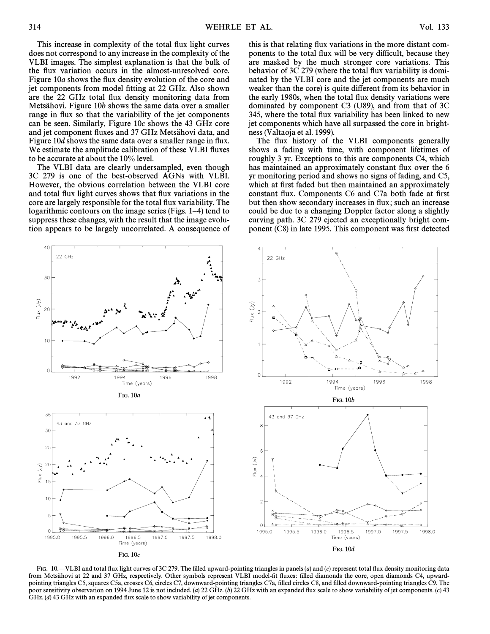This increase in complexity of the total flux light curves does not correspond to any increase in the complexity of the VLBI images. The simplest explanation is that the bulk of the flux variation occurs in the almost-unresolved core. Figure 10a shows the flux density evolution of the core and jet components from model fitting at 22 GHz. Also shown are the 22 GHz total flux density monitoring data from Metsahovi. Figure 10b shows the same data over a smaller range in flux so that the variability of the jet components can be seen. Similarly, Figure 10c shows the 43 GHz core and jet component fluxes and 37 GHz Metsähovi data, and Figure 10d shows the same data over a smaller range in flux. We estimate the amplitude calibration of these VLBI fluxes to be accurate at about the 10% level.

The VLBI data are clearly undersampled, even though 3C 279 is one of the best-observed AGNs with VLBI. However, the obvious correlation between the VLBI core and total flux light curves shows that flux variations in the core are largely responsible for the total flux variability. The logarithmic contours on the image series (Figs.  $1-4$ ) tend to suppress these changes, with the result that the image evolution appears to be largely uncorrelated. A consequence of this is that relating flux variations in the more distant components to the total flux will be very difficult, because they are masked by the much stronger core variations. This behavior of 3C 279 (where the total flux variability is dominated by the VLBI core and the jet components are much weaker than the core) is quite different from its behavior in the early 1980s, when the total flux density variations were dominated by component C3 (U89), and from that of 3C 345, where the total flux variability has been linked to new jet components which have all surpassed the core in brightness (Valtaoja et al. 1999).

The flux history of the VLBI components generally shows a fading with time, with component lifetimes of roughly 3 yr. Exceptions to this are components C4, which has maintained an approximately constant flux over the 6 yr monitoring period and shows no signs of fading, and C5, which at first faded but then maintained an approximately constant flux. Components C6 and C7a both fade at first but then show secondary increases in Ñux ; such an increase could be due to a changing Doppler factor along a slightly curving path. 3C 279 ejected an exceptionally bright component (C8) in late 1995. This component was first detected



FIG. 10. VLBI and total flux light curves of 3C 279. The filled upward-pointing triangles in panels (a) and (c) represent total flux density monitoring data from Metsähovi at 22 and 37 GHz, respectively. Other symbols represent VLBI model-fit fluxes: filled diamonds the core, open diamonds C4, upwardpointing triangles C5, squares C5a, crosses C6, circles C7, downward-pointing triangles C7a, filled circles C8, and filled downward-pointing triangles C9. The poor sensitivity observation on 1994 June 12 is not included. (a) 22 GHz. (b) 22 GHz with an expanded flux scale to show variability of jet components. (c) 43 GHz. (d) 43 GHz with an expanded flux scale to show variability of jet components.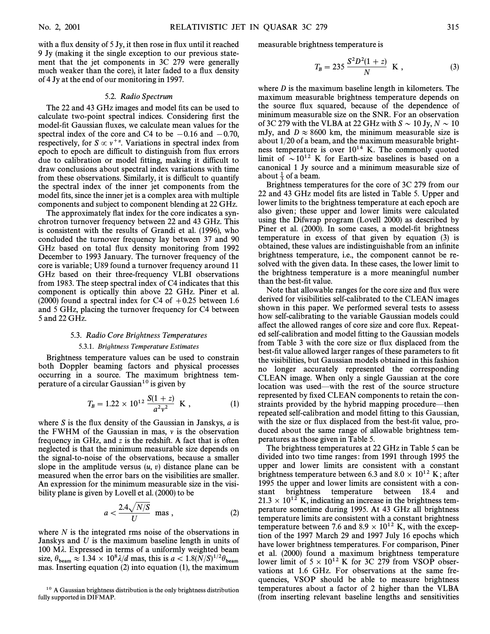with a flux density of 5 Jy, it then rose in flux until it reached 9 Jy (making it the single exception to our previous statement that the jet components in 3C 279 were generally much weaker than the core), it later faded to a flux density of 4 Jy at the end of our monitoring in 1997.

#### 5.2. Radio Spectrum

The 22 and 43 GHz images and model fits can be used to calculate two-point spectral indices. Considering first the model-fit Gaussian fluxes, we calculate mean values for the spectral index of the core and C4 to be  $-0.16$  and  $-0.70$ , respectively, for  $S \propto v^{+\alpha}$ . Variations in spectral index from epoch to epoch are difficult to distinguish from flux errors due to calibration or model fitting, making it difficult to draw conclusions about spectral index variations with time from these observations. Similarly, it is difficult to quantify the spectral index of the inner jet components from the model fits, since the inner jet is a complex area with multiple components and subject to component blending at 22 GHz.

The approximately flat index for the core indicates a synchrotron turnover frequency between 22 and 43 GHz. This is consistent with the results of Grandi et al. (1996), who concluded the turnover frequency lay between 37 and 90 GHz based on total flux density monitoring from 1992 December to 1993 January. The turnover frequency of the core is variable ; U89 found a turnover frequency around 11 GHz based on their three-frequency VLBI observations from 1983. The steep spectral index of C4 indicates that this component is optically thin above 22 GHz. Piner et al. (2000) found a spectral index for C4 of  $+0.25$  between 1.6 and 5 GHz, placing the turnover frequency for C4 between 5 and 22 GHz.

#### 5.3. Radio Core Brightness Temperatures

#### 5.3.1. Brightness Temperature Estimates

Brightness temperature values can be used to constrain both Doppler beaming factors and physical processes occurring in a source. The maximum brightness temperature of a circular Gaussian<sup>10</sup> is given by

$$
T_B = 1.22 \times 10^{12} \frac{S(1+z)}{a^2 v^2} \text{ K} , \qquad (1)
$$

where  $S$  is the flux density of the Gaussian in Janskys,  $a$  is the FWHM of the Gaussian in mas,  $\nu$  is the observation frequency in GHz, and z is the redshift. A fact that is often neglected is that the minimum measurable size depends on the signal-to-noise of the observations, because a smaller slope in the amplitude versus  $(u, v)$  distance plane can be measured when the error bars on the visibilities are smaller. An expression for the minimum measurable size in the visibility plane is given by Lovell et al. (2000) to be

$$
a < \frac{2.4\sqrt{N/S}}{U} \text{ mas},\qquad(2)
$$

where  $N$  is the integrated rms noise of the observations in Janskys and  $U$  is the maximum baseline length in units of 100 M $\lambda$ . Expressed in terms of a uniformly weighted beam size,  $\theta_{\text{beam}} \approx 1.34 \times 10^8 \lambda/d$  mas, this is  $a < 1.8(N/S)^{1/2}\theta$ <br>mas, Inserting equation (2) into equation (1) the maxin mas. Inserting equation (2) into equation (1), the maximum

measurable brightness temperature is

$$
T_B = 235 \frac{S^2 D^2 (1+z)}{N} \text{ K} , \qquad (3)
$$

where *D* is the maximum baseline length in kilometers. The maximum measurable brightness temperature depends on the source flux squared, because of the dependence of minimum measurable size on the SNR. For an observation of 3C 279 with the VLBA at 22 GHz with  $S \sim 10$  Jy,  $N \sim 10$ mJy, and  $D \approx 8600$  km, the minimum measurable size is about 1/20 of a beam, and the maximum measurable brightness temperature is over  $10^{14}$  K. The commonly quoted limit of  $\sim 10^{12}$  K for Earth-size baselines is based on a canonical 1 Jy source and a minimum measurable size of about  $\frac{1}{3}$  of a beam.

Brightness temperatures for the core of 3C 279 from our 22 and 43 GHz model fits are listed in Table 5. Upper and lower limits to the brightness temperature at each epoch are also given; these upper and lower limits were calculated using the Difwrap program (Lovell 2000) as described by Piner et al. (2000). In some cases, a model-fit brightness temperature in excess of that given by equation (3) is obtained, these values are indistinguishable from an infinite brightness temperature, i.e., the component cannot be resolved with the given data. In these cases, the lower limit to the brightness temperature is a more meaningful number than the best-fit value.

Note that allowable ranges for the core size and Ñux were derived for visibilities self-calibrated to the CLEAN images shown in this paper. We performed several tests to assess how self-calibrating to the variable Gaussian models could a†ect the allowed ranges of core size and core Ñux. Repeated self-calibration and model fitting to the Gaussian models from Table 3 with the core size or flux displaced from the best-fit value allowed larger ranges of these parameters to fit the visibilities, but Gaussian models obtained in this fashion no longer accurately represented the corresponding CLEAN image. When only a single Gaussian at the core location was used—with the rest of the source structure represented by fixed CLEAN components to retain the constraints provided by the hybrid mapping procedure—then repeated self-calibration and model fitting to this Gaussian, with the size or flux displaced from the best-fit value, produced about the same range of allowable brightness temperatures as those given in Table 5.

The brightness temperatures at 22 GHz in Table 5 can be divided into two time ranges : from 1991 through 1995 the upper and lower limits are consistent with a constant brightness temperature between 6.3 and 8.0  $\times$  10<sup>12</sup> K; after 1995 the upper and lower limits are consistent with a constant brightness temperature between 18.4 and  $21.3 \times 10^{12}$  K, indicating an increase in the brightness temperature sometime during 1995. At 43 GHz all brightness temperature limits are consistent with a constant brightness temperature between 7.6 and 8.9  $\times$  10<sup>12</sup> K, with the exception of the 1997 March 29 and 1997 July 16 epochs which have lower brightness temperatures. For comparison, Piner et al. (2000) found a maximum brightness temperature lower limit of  $5 \times 10^{12}$  K for 3C 279 from VSOP observations at 1.6 GHz. For observations at the same frequencies, VSOP should be able to measure brightness temperatures about a factor of 2 higher than the VLBA (from inserting relevant baseline lengths and sensitivities

<sup>&</sup>lt;sup>10</sup> A Gaussian brightness distribution is the only brightness distribution fully supported in DIFMAP.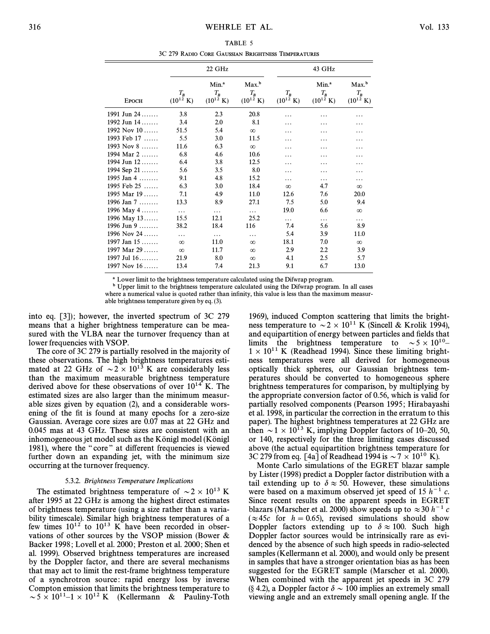TABLE 5 3C 279 RADIO CORE GAUSSIAN BRIGHTNESS TEMPERATURES

|               |                                | 22 GHz                                              |                                                     |                                | 43 GHz                                              |                                                     |
|---------------|--------------------------------|-----------------------------------------------------|-----------------------------------------------------|--------------------------------|-----------------------------------------------------|-----------------------------------------------------|
| Еросн         | $T_B$<br>$(10^{12} \text{ K})$ | Min. <sup>a</sup><br>$T_B$<br>$(10^{12} \text{ K})$ | Max. <sup>b</sup><br>$T_B$<br>$(10^{12} \text{ K})$ | $T_B$<br>$(10^{12} \text{ K})$ | Min. <sup>a</sup><br>$T_B$<br>$(10^{12} \text{ K})$ | Max. <sup>b</sup><br>$T_B$<br>$(10^{12} \text{ K})$ |
| 1991 Jun 24   | 3.8                            | 2.3                                                 | 20.8                                                |                                |                                                     |                                                     |
| 1992 Jun $14$ | 3.4                            | 2.0                                                 | 8.1                                                 | .                              | .                                                   |                                                     |
| 1992 Nov $10$ | 51.5                           | 5.4                                                 | $\infty$                                            |                                |                                                     |                                                     |
| 1993 Feb $17$ | 5.5                            | 3.0                                                 | 11.5                                                | .                              |                                                     | .                                                   |
| 1993 Nov $8$  | 11.6                           | 6.3                                                 | $\infty$                                            | .                              |                                                     |                                                     |
| 1994 Mar $2$  | 6.8                            | 4.6                                                 | 10.6                                                | .                              | .                                                   | .                                                   |
| 1994 Jun $12$ | 6.4                            | 3.8                                                 | 12.5                                                | .                              | .                                                   | .                                                   |
| 1994 Sep $21$ | 5.6                            | 3.5                                                 | 8.0                                                 | .                              | .                                                   | .                                                   |
| 1995 Jan 4    | 9.1                            | 4.8                                                 | 15.2                                                | .                              | .                                                   | .                                                   |
| 1995 Feb $25$ | 6.3                            | 3.0                                                 | 18.4                                                | $\infty$                       | 4.7                                                 | $\infty$                                            |
| 1995 Mar $19$ | 7.1                            | 4.9                                                 | 11.0                                                | 12.6                           | 7.6                                                 | 20.0                                                |
| 1996 Jan 7    | 13.3                           | 8.9                                                 | 27.1                                                | 7.5                            | 5.0                                                 | 9.4                                                 |
| 1996 May 4    | $\ldots$                       | .                                                   | .                                                   | 19.0                           | 6.6                                                 | $\infty$                                            |
| 1996 May 13   | 15.5                           | 12.1                                                | 25.2                                                | .                              | .                                                   | .                                                   |
| 1996 Jun 9    | 38.2                           | 18.4                                                | 116                                                 | 7.4                            | 5.6                                                 | 8.9                                                 |
| 1996 Nov 24   | $\cdots$                       | $\cdots$                                            | .                                                   | 5.4                            | 3.9                                                 | 11.0                                                |
| 1997 Jan $15$ | $\infty$                       | 11.0                                                | $\infty$                                            | 18.1                           | 7.0                                                 | $\infty$                                            |
| 1997 Mar $29$ | $\infty$                       | 11.7                                                | $\infty$                                            | 2.9                            | 2.2                                                 | 3.9                                                 |
| 1997 Jul $16$ | 21.9                           | 8.0                                                 | $\infty$                                            | 4.1                            | 2.5                                                 | 5.7                                                 |
| 1997 Nov $16$ | 13.4                           | 7.4                                                 | 21.3                                                | 9.1                            | 6.7                                                 | 13.0                                                |

a Lower limit to the brightness temperature calculated using the Difwrap program.

<sup>b</sup> Upper limit to the brightness temperature calculated using the Difwrap program. In all cases where a numerical value is quoted rather than infinity, this value is less than the maximum measur-

able brightness temperature given by eq. (3).

into eq.  $[3]$ ; however, the inverted spectrum of 3C 279 means that a higher brightness temperature can be measured with the VLBA near the turnover frequency than at lower frequencies with VSOP.

The core of 3C 279 is partially resolved in the majority of these observations. The high brightness temperatures estimated at 22 GHz of  $\sim$  2  $\times$  10<sup>13</sup> K are considerably less than the maximum measurable brightness temperature derived above for these observations of over  $10^{14}$  K. The estimated sizes are also larger than the minimum measurable sizes given by equation (2), and a considerable worsening of the fit is found at many epochs for a zero-size Gaussian. Average core sizes are 0.07 mas at 22 GHz and 0.045 mas at 43 GHz. These sizes are consistent with an inhomogeneous jet model such as the Königl model (Königl 1981), where the "core" at different frequencies is viewed further down an expanding jet, with the minimum size occurring at the turnover frequency.

#### 5.3.2. Brightness Temperature Implications

The estimated brightness temperature of  $\sim$  2  $\times$  10<sup>13</sup> K after 1995 at 22 GHz is among the highest direct estimates of brightness temperature (using a size rather than a variability timescale). Similar high brightness temperatures of a few times  $10^{12}$  to  $10^{13}$  K have been recorded in observations of other sources by the VSOP mission (Bower & Backer 1998; Lovell et al. 2000; Preston et al. 2000; Shen et al. 1999). Observed brightness temperatures are increased by the Doppler factor, and there are several mechanisms that may act to limit the rest-frame brightness temperature of a synchrotron source: rapid energy loss by inverse Compton emission that limits the brightness temperature to  $\sim 5 \times 10^{11}$ –1 × 10<sup>12</sup> K (Kellermann & Pauliny-Toth

1969), induced Compton scattering that limits the brightness temperature to  $\sim$  2  $\times$  10<sup>11</sup> K (Sincell & Krolik 1994), and equipartition of energy between particles and fields that limits the brightness temperature to  $\sim 5 \times 10^{10}$ –  $1 \times 10^{11}$  K (Readhead 1994). Since these limiting brightness temperatures were all derived for homogeneous optically thick spheres, our Gaussian brightness temperatures should be converted to homogeneous sphere brightness temperatures for comparison, by multiplying by the appropriate conversion factor of 0.56, which is valid for partially resolved components (Pearson 1995; Hirabayashi et al. 1998, in particular the correction in the erratum to this paper). The highest brightness temperatures at 22 GHz are then  $\sim$  1  $\times$  10<sup>13</sup> K, implying Doppler factors of 10–20, 50, or 140, respectively for the three limiting cases discussed above (the actual equipartition brightness temperature for 3C 279 from eq. [4a] of Readhead 1994 is  $\sim$  7  $\times$  10<sup>10</sup> K).

Monte Carlo simulations of the EGRET blazar sample by Lister (1998) predict a Doppler factor distribution with a tail extending up to  $\delta \approx 50$ . However, these simulations were based on a maximum observed jet speed of 15  $h^{-1}$  c. Since recent results on the apparent speeds in EGRET blazars (Marscher et al. 2000) show speeds up to  $\approx 30$  h<sup>-1</sup> c ( $\approx$  45c for  $h = 0.65$ ), revised simulations should show Doppler factors extending up to  $\delta \approx 100$ . Such high Doppler factor sources would be intrinsically rare as evidenced by the absence of such high speeds in radio-selected samples (Kellermann et al. 2000), and would only be present in samples that have a stronger orientation bias as has been suggested for the EGRET sample (Marscher et al. 2000). When combined with the apparent jet speeds in 3C 279 (§ 4.2), a Doppler factor  $\delta \sim 100$  implies an extremely small viewing angle and an extremely small opening angle. If the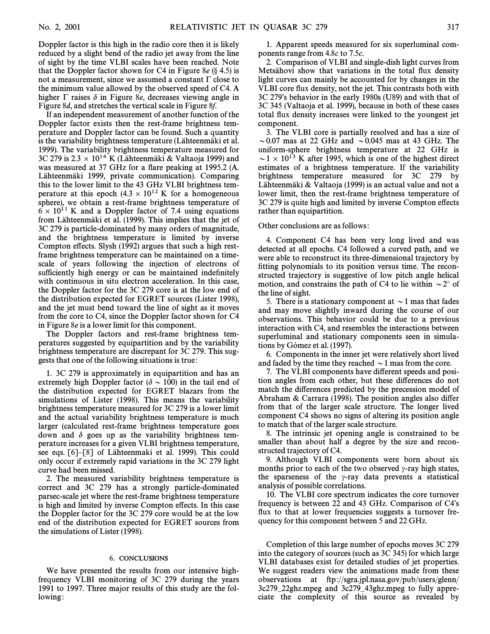Doppler factor is this high in the radio core then it is likely reduced by a slight bend of the radio jet away from the line of sight by the time VLBI scales have been reached. Note that the Doppler factor shown for C4 in Figure 8e  $(\S$  4.5) is not a measurement, since we assumed a constant  $\Gamma$  close to the minimum value allowed by the observed speed of C4. A higher  $\Gamma$  raises  $\delta$  in Figure 8e, decreases viewing angle in Figure 8d, and stretches the vertical scale in Figure 8f.

If an independent measurement of another function of the Doppler factor exists then the rest-frame brightness temperature and Doppler factor can be found. Such a quantity is the variability brightness temperature (Lähteenmäki et al. 1999). The variability brightness temperature measured for 3C 279 is 2.3  $\times$  10<sup>14</sup> K (Lähteenmäki & Valtaoja 1999) and was measured at 37 GHz for a flare peaking at 1995.2 (A. Lahteenmaki 1999, private communication). Comparing this to the lower limit to the 43 GHz VLBI brightness temperature at this epoch  $(4.3 \times 10^{12} \text{ K}$  for a homogeneous sphere), we obtain a rest-frame brightness temperature of  $6 \times 10^{11}$  K and a Doppler factor of 7.4 using equations from Lähteenmäki et al. (1999). This implies that the jet of 3C 279 is particle-dominated by many orders of magnitude, and the brightness temperature is limited by inverse Compton effects. Slysh (1992) argues that such a high restframe brightness temperature can be maintained on a timescale of years following the injection of electrons of sufficiently high energy or can be maintained indefinitely with continuous in situ electron acceleration. In this case, the Doppler factor for the 3C 279 core is at the low end of the distribution expected for EGRET sources (Lister 1998), and the jet must bend toward the line of sight as it moves from the core to C4, since the Doppler factor shown for C4 in Figure 8e is a lower limit for this component.

The Doppler factors and rest-frame brightness temperatures suggested by equipartition and by the variability brightness temperature are discrepant for 3C 279. This suggests that one of the following situations is true :

1. 3C 279 is approximately in equipartition and has an extremely high Doppler factor ( $\delta \sim 100$ ) in the tail end of the distribution expected for EGRET blazars from the simulations of Lister (1998). This means the variability brightness temperature measured for 3C 279 is a lower limit and the actual variability brightness temperature is much larger (calculated rest-frame brightness temperature goes down and  $\delta$  goes up as the variability brightness temperature increases for a given VLBI brightness temperature, see eqs.  $[6]-[8]$  of Lähteenmaki et al. 1999). This could only occur if extremely rapid variations in the 3C 279 light curve had been missed.

2. The measured variability brightness temperature is correct and 3C 279 has a strongly particle-dominated parsec-scale jet where the rest-frame brightness temperature is high and limited by inverse Compton effects. In this case the Doppler factor for the 3C 279 core would be at the low end of the distribution expected for EGRET sources from the simulations of Lister (1998).

#### 6. CONCLUSIONS

We have presented the results from our intensive highfrequency VLBI monitoring of 3C 279 during the years 1991 to 1997. Three major results of this study are the following:

1. Apparent speeds measured for six superluminal components range from 4.8c to 7.5c.

2. Comparison of VLBI and single-dish light curves from Metsähovi show that variations in the total flux density light curves can mainly be accounted for by changes in the VLBI core flux density, not the jet. This contrasts both with 3C 279's behavior in the early 1980s (U89) and with that of 3C 345 (Valtaoja et al. 1999), because in both of these cases total flux density increases were linked to the youngest jet component.

3. The VLBI core is partially resolved and has a size of  $\sim$  0.07 mas at 22 GHz and  $\sim$  0.045 mas at 43 GHz. The uniform-sphere brightness temperature at 22 GHz is  $\sim$  1  $\times$  10<sup>13</sup> K after 1995, which is one of the highest direct estimates of a brightness temperature. If the variability brightness temperature measured for 3C 279 by Lähteenmäki & Valtaoja (1999) is an actual value and not a lower limit, then the rest-frame brightness temperature of 3C 279 is quite high and limited by inverse Compton effects rather than equipartition.

#### Other conclusions are as follows :

4. Component C4 has been very long lived and was detected at all epochs. C4 followed a curved path, and we were able to reconstruct its three-dimensional trajectory by fitting polynomials to its position versus time. The reconstructed trajectory is suggestive of low pitch angle helical motion, and constrains the path of C4 to lie within  $\sim 2^{\circ}$  of the line of sight.

5. There is a stationary component at  $\sim$  1 mas that fades and may move slightly inward during the course of our observations. This behavior could be due to a previous interaction with C4, and resembles the interactions between superluminal and stationary components seen in simulations by Gómez et al. (1997).

6. Components in the inner jet were relatively short lived and faded by the time they reached  $\sim$  1 mas from the core.

7. The VLBI components have different speeds and position angles from each other, but these di†erences do not match the differences predicted by the precession model of Abraham  $& Carrara$  (1998). The position angles also differ from that of the larger scale structure. The longer lived component C4 shows no signs of altering its position angle to match that of the larger scale structure.

8. The intrinsic jet opening angle is constrained to be smaller than about half a degree by the size and reconstructed trajectory of C4.

9. Although VLBI components were born about six months prior to each of the two observed  $\gamma$ -ray high states, the sparseness of the  $\gamma$ -ray data prevents a statistical analysis of possible correlations.

10. The VLBI core spectrum indicates the core turnover frequency is between 22 and 43 GHz. Comparison of C4's flux to that at lower frequencies suggests a turnover frequency for this component between 5 and 22 GHz.

Completion of this large number of epochs moves 3C 279 into the category of sources (such as 3C 345) for which large VLBI databases exist for detailed studies of jet properties. We suggest readers view the animations made from these observations at ftp ://sgra.jpl.nasa.gov/pub/users/glenn/ 3c279–22ghz.mpeg and 3c279–43ghz.mpeg to fully appreciate the complexity of this source as revealed by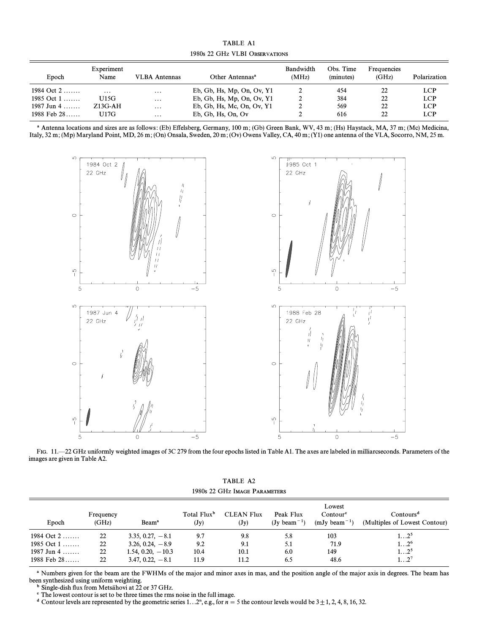| <b>TABLE A1</b>                |  |
|--------------------------------|--|
| 1980s 22 GHz VLBI Observations |  |

| Epoch         | Experiment<br>Name | VLBA Antennas     | Other Antennas <sup>a</sup>  | Bandwidth<br>(MHz) | Obs. Time<br>(minutes) | Frequencies<br>(GHz) | Polarization |
|---------------|--------------------|-------------------|------------------------------|--------------------|------------------------|----------------------|--------------|
| 1984 Oct $2$  | $\cdot\cdot\cdot$  | $\cdot\cdot\cdot$ | Eb, Gb, Hs, Mp, On, Ov, $Y1$ |                    | 454                    | 22                   | LCP.         |
| 1985 Oct $1$  | U15G               | $\cdot\cdot\cdot$ | Eb, Gb, Hs, Mp, On, Ov, $Y1$ |                    | 384                    | 22                   | LCP.         |
| 1987 Jun 4    | $Z13G-AH$          | $\cdots$          | Eb, Gb, Hs, Mc, On, Ov, $Y1$ |                    | 569                    | 22                   | LCP.         |
| 1988 Feb $28$ | U17G               | $\cdots$          | $Eb$ , Gb, Hs, On, Ov        |                    | 616                    | 22                   | LCP.         |

<sup>&</sup>lt;sup>a</sup> Antenna locations and sizes are as follows: (Eb) Effelsberg, Germany, 100 m; (Gb) Green Bank, WV, 43 m; (Hs) Haystack, MA, 37 m; (Mc) Medicina, Italy, 32 m; (Mp) Maryland Point, MD, 26 m; (On) Onsala, Sweden, 20 m; (Ov) Owens Valley, CA, 40 m; (Y1) one antenna of the VLA, Socorro, NM, 25 m.



FIG. 11. -22 GHz uniformly weighted images of 3C 279 from the four epochs listed in Table A1. The axes are labeled in milliarcseconds. Parameters of the images are given in Table A2.

|  | TABLE A2 |                               |
|--|----------|-------------------------------|
|  |          | 1980s 22 GHz Image Parameters |

| Epoch         | Frequency<br>(GHz) | Beam <sup>a</sup>   | Total Flux <sup>b</sup><br>$(\mathbf{J}\mathbf{y})$ | <b>CLEAN Flux</b><br>$(\mathbf{J}\mathbf{y})$ | Peak Flux<br>$(Jv \text{ beam}^{-1})$ | Lowest<br>Contour <sup>c</sup><br>$(mJv beam^{-1})$ | Contours <sup>d</sup><br>(Multiples of Lowest Contour) |
|---------------|--------------------|---------------------|-----------------------------------------------------|-----------------------------------------------|---------------------------------------|-----------------------------------------------------|--------------------------------------------------------|
| 1984 Oct $2$  | 22                 | $3.35, 0.27, -8.1$  | 9.7                                                 | 9.8                                           | 5.8                                   | 103                                                 | $12^5$                                                 |
| 1985 Oct $1$  | 22                 | $3.26, 0.24, -8.9$  | 9.2                                                 | 9.1                                           | 5.1                                   | 71.9                                                | $12^6$                                                 |
| 1987 Jun 4    | 22                 | $1.54, 0.20, -10.3$ | 10.4                                                | 10.1                                          | 6.0                                   | 149                                                 | $12^5$                                                 |
| 1988 Feb $28$ | 22                 | $3.47, 0.22, -8.1$  | 11.9                                                | 11.2                                          | 6.5                                   | 48.6                                                | $12^7$                                                 |

<sup>a</sup> Numbers given for the beam are the FWHMs of the major and minor axes in mas, and the position angle of the major axis in degrees. The beam has been synthesized using uniform weighting.

<sup>b</sup> Single-dish flux from Metsähovi at 22 or 37 GHz.

<sup>c</sup> The lowest contour is set to be three times the rms noise in the full image.

d Contour levels are represented by the geometric series 1...2<sup>n</sup>, e.g., for  $n = 5$  the contour levels would be  $3 \pm 1, 2, 4, 8, 16, 32$ .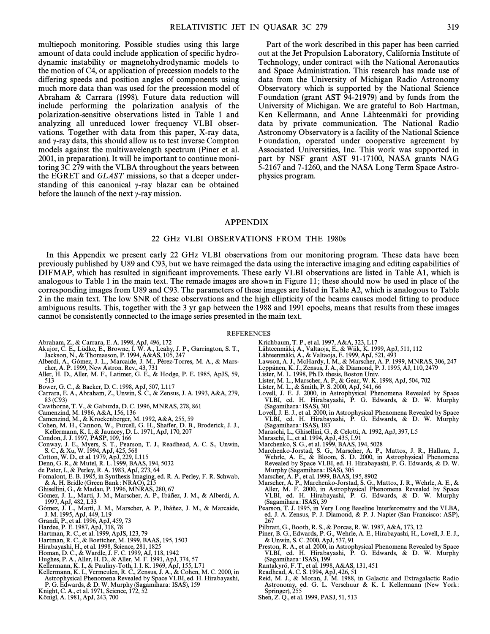multiepoch monitoring. Possible studies using this large amount of data could include application of specific hydrodynamic instability or magnetohydrodynamic models to the motion of C4, or application of precession models to the differing speeds and position angles of components using much more data than was used for the precession model of Abraham & Carrara (1998). Future data reduction will include performing the polarization analysis of the polarization-sensitive observations listed in Table 1 and analyzing all unreduced lower frequency VLBI observations. Together with data from this paper, X-ray data, and  $\gamma$ -ray data, this should allow us to test inverse Compton models against the multiwavelength spectrum (Piner et al. 2001, in preparation). It will be important to continue monitoring 3C 279 with the VLBA throughout the years between the EGRET and  $GLAST$  missions, so that a deeper understanding of this canonical  $\gamma$ -ray blazar can be obtained before the launch of the next  $\gamma$ -ray mission.

Part of the work described in this paper has been carried out at the Jet Propulsion Laboratory, California Institute of Technology, under contract with the National Aeronautics and Space Administration. This research has made use of data from the University of Michigan Radio Astronomy Observatory which is supported by the National Science Foundation (grant AST 94-21979) and by funds from the University of Michigan. We are grateful to Bob Hartman, Ken Kellermann, and Anne Lähteenmäki for providing data by private communication. The National Radio Astronomy Observatory is a facility of the National Science Foundation, operated under cooperative agreement by Associated Universities, Inc. This work was supported in part by NSF grant AST 91-17100, NASA grants NAG 5-2167 and 7-1260, and the NASA Long Term Space Astrophysics program.

#### APPENDIX

#### 22 GHz VLBI OBSERVATIONS FROM THE 1980s

In this Appendix we present early 22 GHz VLBI observations from our monitoring program. These data have been previously published by U89 and C93, but we have reimaged the data using the interactive imaging and editing capabilities of DIFMAP, which has resulted in significant improvements. These early VLBI observations are listed in Table A1, which is analogous to Table 1 in the main text. The remade images are shown in Figure 11 ; these should now be used in place of the corresponding images from U89 and C93. The parameters of these images are listed in Table A2, which is analogous to Table 2 in the main text. The low SNR of these observations and the high ellipticity of the beams causes model fitting to produce ambiguous results. This, together with the 3 yr gap between the 1988 and 1991 epochs, means that results from these images cannot be consistently connected to the image series presented in the main text.

REFERENCES

- Abraham, Z., & Carrara, E. A. 1998, ApJ, 496, 172
- Akujor, C. E., Lüdke, E., Browne, I. W. A., Leahy, J. P., Garrington, S. T., Jackson, N., & Thomasson, P. 1994, A&AS, 105, 247
- Alberdi, A., Gómez, J. L., Marcaide, J. M., Pérez-Torres, M. A., & Mars-cher, A. P. 1999, New Astron. Rev., 43, 731 Aller, H. D., Aller, M. F., Latimer, G. E., & Hodge, P. E. 1985, ApJS, 59,
- 513
- Bower, G. C., & Backer, D. C. 1998, ApJ, 507, L117
- Carrara, E. A., Abraham, Z., Unwin, S. C., & Zensus, J. A. 1993, A&A, 279,  $83 (C93)$
- Cawthorne, T. V., & Gabuzda, D. C. 1996, MNRAS, 278, 861
- Camenzind, M. 1986, A&A, 156, 136
- 
- Camenzind, M., & Krockenberger, M. 1992, A&A, 255, 59 Cohen, M. H., Cannon, W., Purcell, G. H., Sha†er, D. B., Broderick, J. J., Kellermann, K. I., & Jauncey, D. L. 1971, ApJ, 170, 207 Condon, J. J. 1997, PASP, 109, 166
- 
- Conway, J. E., Myers, S. T., Pearson, T. J., Readhead, A. C. S., Unwin,<br>S. C., & Xu, W. 1994, ApJ, 425, 568<br>Cotton, W. D., et al. 1979, ApJ, 229, L115<br>Denn, G. R., & Mutel, R. L. 1999, BAAS, 194, 5032
- 
- 
- 
- de Pater, I., & Perley, R. A. 1983, ApJ, 273, 64 Fomalont, E. B. 1985, in Synthesis Imaging, ed. R. A. Perley, F. R. Schwab, & A. H. Bridle (Green Bank : NRAO), 215 Ghisellini, G., & Madau, P. 1996, MNRAS, 280, 67
- 
- Gómez, J. L., Martí, J. M., Marscher, A. P., Ibáñez, J. M., & Alberdi, A. 1997, ApJ, 482, L33<br>Gómez, J. L., Martí, J. M., Marscher, A. P., Ibáñez, J. M., & Marcaide,
- J. M. 1995, ApJ, 449, L19 Grandi, P., et al. 1996, ApJ, 459, 73
- 
- Hardee, P. E. 1987, ApJ, 318, 78
- Hartman, R. C., et al. 1999, ApJS, 123, 79 Hartman, R. C., & Boettcher, M. 1999, BAAS, 195, 1503
- 
- Hirabayashi, H., et al. 1998, Science, 281, 1825
- Homan, D. C., & Wardle, J. F. C. 1999, AJ, 118, 1942 Hughes, P. A., Aller, H. D., & Aller, M. F. 1991, ApJ, 374, 57
- 
- Kellermann, K. I., & Pauliny-Toth, I. I. K. 1969, ApJ, 155, L71 Kellermann, K. I., Vermeulen, R. C., Zensus, J. A., & Cohen, M. C. 2000, in
- Astrophysical Phenomena Revealed by Space VLBI, ed. H. Hirabayashi,
- P. G. Edwards, & D. W. Murphy (Sagamihara : ISAS), 159 Knight, C. A., et al. 1971, Science, 172, 52
- Konigl, A. 1981, ApJ, 243, 700
- Krichbaum, T. P., et al. 1997, A&A, 323, L17
- 
- Lähteenmäki, A., Valtaoja, E., & Wiik, K. 1999, ApJ, 511, 112<br>Lähteenmäki, A., & Valtaoja, E. 1999, ApJ, 521, 493
- Lawson, A. J., McHardy, I. M., & Marscher, A. P. 1999, MNRAS, 306, 247 Leppanen, K. J., Zensus, J. A., & Diamond, P. J. 1995, AJ, 110, 2479
- 
- Lister, M. L. 1998, Ph.D. thesis, Boston Univ.
- 
- Lister, M. L., Marscher, A. P., & Gear, W. K. 1998, ApJ, 504, 702 Lister, M. L., & Smith, P. S. 2000, ApJ, 541, 66
- Lovell, J. E. J. 2000, in Astrophysical Phenomena Revealed by Space VLBI, ed. H. Hirabayashi, P. G. Edwards, & D. W. Murphy (Sagamihara : ISAS), 301
- Lovell, J. E. J., et al. 2000, in Astrophysical Phenomena Revealed by Space VLBI, ed. H. Hirabayashi, P. G. Edwards, & D. W. Murphy (Sagamihara : ISAS), 183
- Maraschi, L., Ghisellini, G., & Celotti, A. 1992, ApJ, 397, L5 Maraschi, L., et al. 1994, ApJ, 435, L91
- 
- Marchenko, S. G., et al. 1999, BAAS, 194, 5028
- Marchenko-Jorstad, S. G., Marscher, A. P., Mattox, J. R., Hallum, J., Wehrle, A. E., & Bloom, S. D. 2000, in Astrophysical Phenomena Revealed by Space VLBI, ed. H. Hirabayashi, P. G. Edwards, & D. W. Murphy (Sagamihara : ISAS), 305
- Marscher, A. P., et al. 1999, BAAS, 195, 8902
- Marscher, A. P., Marchenko-Jorstad, S. G., Mattox, J. R., Wehrle, A. E., & Aller, M. F. 2000, in Astrophysical Phenomena Revealed by Space VLBI, ed. H. Hirabayashi, P. G. Edwards, & D. W. Murphy (Sagamihara : ISAS), 39
- Pearson, T. J. 1995, in Very Long Baseline Interferometry and the VLBA, ed. J. A. Zensus, P. J. Diamond, & P. J. Napier (San Francisco : ASP), 267
- Pilbratt, G., Booth, R. S., & Porcas, R. W. 1987, A&A, 173, 12
- Piner, B. G., Edwards, P. G., Wehrle, A. E., Hirabayashi, H., Lovell, J. E. J., & Unwin, S. C. 2000, ApJ, 537, 91
- Preston, R. A., et al. 2000, in Astrophysical Phenomena Revealed by Space VLBI, ed. H. Hirabayashi, P. G. Edwards, & D. W. Murphy (Sagamihara : ISAS), 199
- Rantakyro, F. T., et al. 1998, A&AS, 131, 451 Readhead, A. C. S. 1994, ApJ, 426, 51
- 
- Reid, M. J., & Moran, J. M. 1988, in Galactic and Extragalactic Radio Astronomy, ed. G. L. Verschuur & K. I. Kellermann (New York:<br>Springer), 255
- Shen, Z. Q., et al. 1999, PASJ, 51, 513